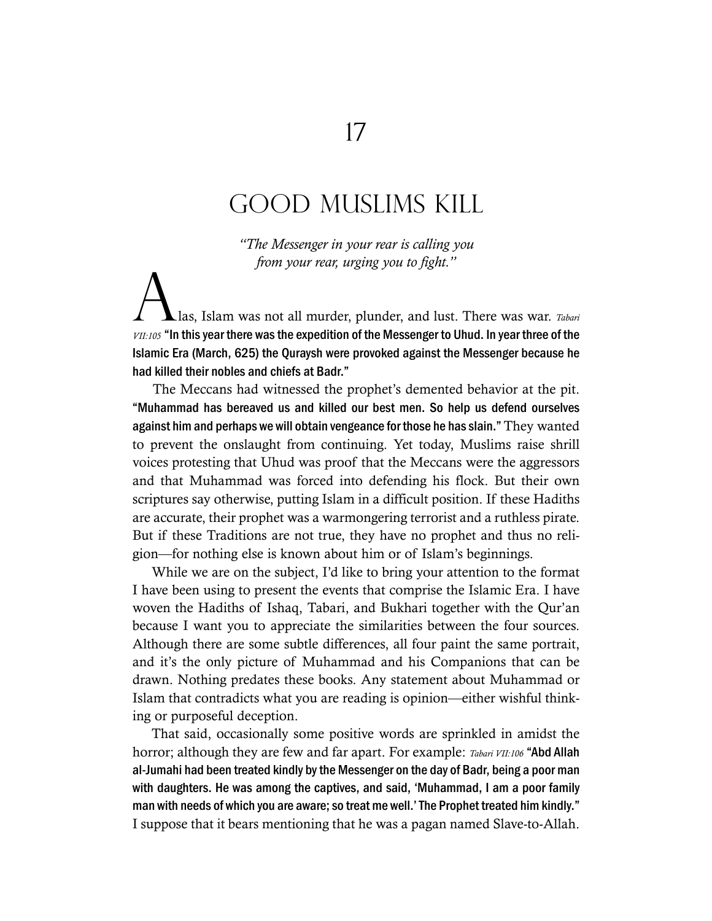## GOOD MUSLIMS KILL

*"The Messenger in your rear is calling you from your rear, urging you to fight."*

Alas, Islam was not all murder, plunder, and lust. There was war. *Tabari VII:105* "In this year there was the expedition of the Messenger to Uhud. In year three of the Islamic Era (March, 625) the Quraysh were provoked against the Messenger because he had killed their nobles and chiefs at Badr."

The Meccans had witnessed the prophet's demented behavior at the pit. "Muhammad has bereaved us and killed our best men. So help us defend ourselves against him and perhaps we will obtain vengeance for those he has slain." They wanted to prevent the onslaught from continuing. Yet today, Muslims raise shrill voices protesting that Uhud was proof that the Meccans were the aggressors and that Muhammad was forced into defending his flock. But their own scriptures say otherwise, putting Islam in a difficult position. If these Hadiths are accurate, their prophet was a warmongering terrorist and a ruthless pirate. But if these Traditions are not true, they have no prophet and thus no religion—for nothing else is known about him or of Islam's beginnings.

While we are on the subject, I'd like to bring your attention to the format I have been using to present the events that comprise the Islamic Era. I have woven the Hadiths of Ishaq, Tabari, and Bukhari together with the Qur'an because I want you to appreciate the similarities between the four sources. Although there are some subtle differences, all four paint the same portrait, and it's the only picture of Muhammad and his Companions that can be drawn. Nothing predates these books. Any statement about Muhammad or Islam that contradicts what you are reading is opinion—either wishful thinking or purposeful deception.

That said, occasionally some positive words are sprinkled in amidst the horror; although they are few and far apart. For example: *Tabari VII:106* "Abd Allah al-Jumahi had been treated kindly by the Messenger on the day of Badr, being a poor man with daughters. He was among the captives, and said, 'Muhammad, I am a poor family man with needs of which you are aware; so treat me well.' The Prophet treated him kindly." I suppose that it bears mentioning that he was a pagan named Slave-to-Allah.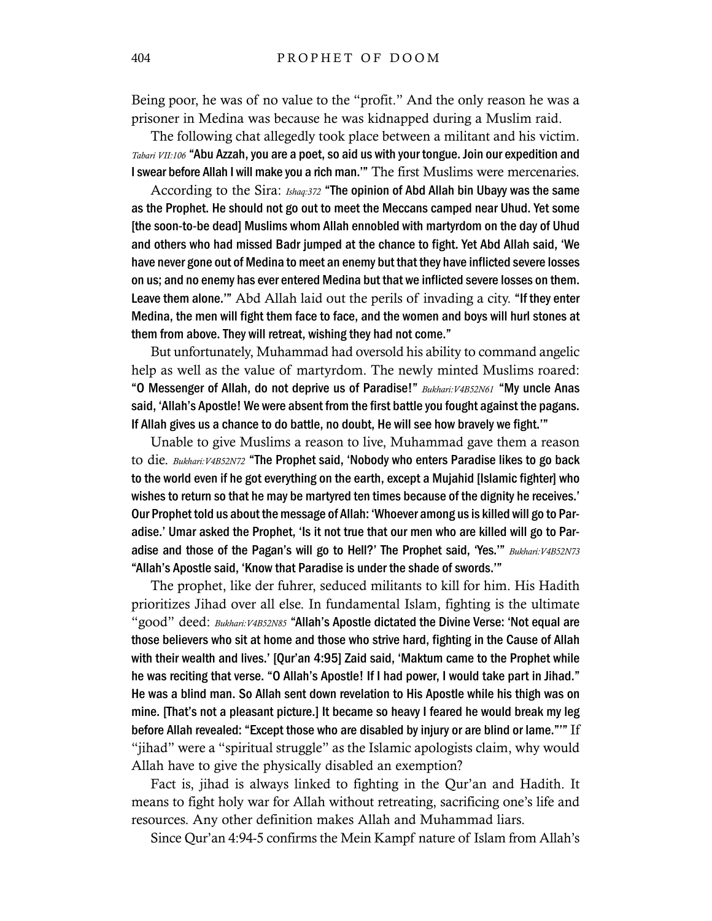Being poor, he was of no value to the "profit." And the only reason he was a prisoner in Medina was because he was kidnapped during a Muslim raid.

The following chat allegedly took place between a militant and his victim. *Tabari VII:106* "Abu Azzah, you are a poet, so aid us with your tongue. Join our expedition and I swear before Allah I will make you a rich man.'" The first Muslims were mercenaries.

According to the Sira: *Ishaq:372* "The opinion of Abd Allah bin Ubayy was the same as the Prophet. He should not go out to meet the Meccans camped near Uhud. Yet some [the soon-to-be dead] Muslims whom Allah ennobled with martyrdom on the day of Uhud and others who had missed Badr jumped at the chance to fight. Yet Abd Allah said, 'We have never gone out of Medina to meet an enemy but that they have inflicted severe losses on us; and no enemy has ever entered Medina but that we inflicted severe losses on them. Leave them alone.'" Abd Allah laid out the perils of invading a city. "If they enter Medina, the men will fight them face to face, and the women and boys will hurl stones at them from above. They will retreat, wishing they had not come."

But unfortunately, Muhammad had oversold his ability to command angelic help as well as the value of martyrdom. The newly minted Muslims roared: "O Messenger of Allah, do not deprive us of Paradise!" *Bukhari:V4B52N61* "My uncle Anas said, 'Allah's Apostle! We were absent from the first battle you fought against the pagans. If Allah gives us a chance to do battle, no doubt, He will see how bravely we fight.'"

Unable to give Muslims a reason to live, Muhammad gave them a reason to die. *Bukhari:V4B52N72* "The Prophet said, 'Nobody who enters Paradise likes to go back to the world even if he got everything on the earth, except a Mujahid [Islamic fighter] who wishes to return so that he may be martyred ten times because of the dignity he receives.' Our Prophet told us about the message of Allah: 'Whoever among us is killed will go to Paradise.' Umar asked the Prophet, 'Is it not true that our men who are killed will go to Paradise and those of the Pagan's will go to Hell?' The Prophet said, 'Yes.'" *Bukhari:V4B52N73* "Allah's Apostle said, 'Know that Paradise is under the shade of swords.'"

The prophet, like der fuhrer, seduced militants to kill for him. His Hadith prioritizes Jihad over all else. In fundamental Islam, fighting is the ultimate "good" deed: *Bukhari:V4B52N85* "Allah's Apostle dictated the Divine Verse: 'Not equal are those believers who sit at home and those who strive hard, fighting in the Cause of Allah with their wealth and lives.' [Qur'an 4:95] Zaid said, 'Maktum came to the Prophet while he was reciting that verse. "O Allah's Apostle! If I had power, I would take part in Jihad." He was a blind man. So Allah sent down revelation to His Apostle while his thigh was on mine. [That's not a pleasant picture.] It became so heavy I feared he would break my leg before Allah revealed: "Except those who are disabled by injury or are blind or lame."'" If "jihad" were a "spiritual struggle" as the Islamic apologists claim, why would Allah have to give the physically disabled an exemption?

Fact is, jihad is always linked to fighting in the Qur'an and Hadith. It means to fight holy war for Allah without retreating, sacrificing one's life and resources. Any other definition makes Allah and Muhammad liars.

Since Qur'an 4:94-5 confirms the Mein Kampf nature of Islam from Allah's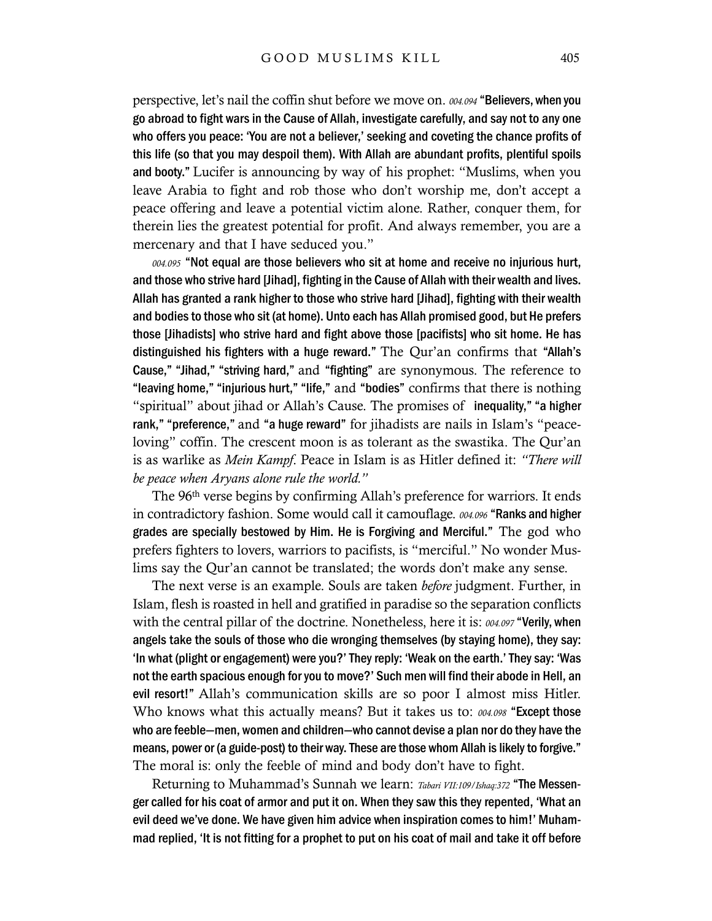perspective, let's nail the coffin shut before we move on. *004.094* "Believers, when you go abroad to fight wars in the Cause of Allah, investigate carefully, and say not to any one who offers you peace: 'You are not a believer,' seeking and coveting the chance profits of this life (so that you may despoil them). With Allah are abundant profits, plentiful spoils and booty." Lucifer is announcing by way of his prophet: "Muslims, when you leave Arabia to fight and rob those who don't worship me, don't accept a peace offering and leave a potential victim alone. Rather, conquer them, for therein lies the greatest potential for profit. And always remember, you are a mercenary and that I have seduced you."

*004.095* "Not equal are those believers who sit at home and receive no injurious hurt, and those who strive hard [Jihad], fighting in the Cause of Allah with their wealth and lives. Allah has granted a rank higher to those who strive hard [Jihad], fighting with their wealth and bodies to those who sit (at home). Unto each has Allah promised good, but He prefers those [Jihadists] who strive hard and fight above those [pacifists] who sit home. He has distinguished his fighters with a huge reward." The Qur'an confirms that "Allah's Cause," "Jihad," "striving hard," and "fighting" are synonymous. The reference to "leaving home," "injurious hurt," "life," and "bodies" confirms that there is nothing "spiritual" about jihad or Allah's Cause. The promises of inequality," "a higher rank," "preference," and "a huge reward" for jihadists are nails in Islam's "peaceloving" coffin. The crescent moon is as tolerant as the swastika. The Qur'an is as warlike as *Mein Kampf*. Peace in Islam is as Hitler defined it: *"There will be peace when Aryans alone rule the world."*

The 96th verse begins by confirming Allah's preference for warriors. It ends in contradictory fashion. Some would call it camouflage. *004.096* "Ranks and higher grades are specially bestowed by Him. He is Forgiving and Merciful." The god who prefers fighters to lovers, warriors to pacifists, is "merciful." No wonder Muslims say the Qur'an cannot be translated; the words don't make any sense.

The next verse is an example. Souls are taken *before* judgment. Further, in Islam, flesh is roasted in hell and gratified in paradise so the separation conflicts with the central pillar of the doctrine. Nonetheless, here it is: *004.097* "Verily, when angels take the souls of those who die wronging themselves (by staying home), they say: 'In what (plight or engagement) were you?' They reply: 'Weak on the earth.' They say: 'Was not the earth spacious enough for you to move?' Such men will find their abode in Hell, an evil resort!" Allah's communication skills are so poor I almost miss Hitler. Who knows what this actually means? But it takes us to:  $004.098$  "Except those who are feeble—men, women and children—who cannot devise a plan nor do they have the means, power or (a guide-post) to their way. These are those whom Allah is likely to forgive." The moral is: only the feeble of mind and body don't have to fight.

Returning to Muhammad's Sunnah we learn: *Tabari VII:109/Ishaq:372* "The Messenger called for his coat of armor and put it on. When they saw this they repented, 'What an evil deed we've done. We have given him advice when inspiration comes to him!' Muhammad replied, 'It is not fitting for a prophet to put on his coat of mail and take it off before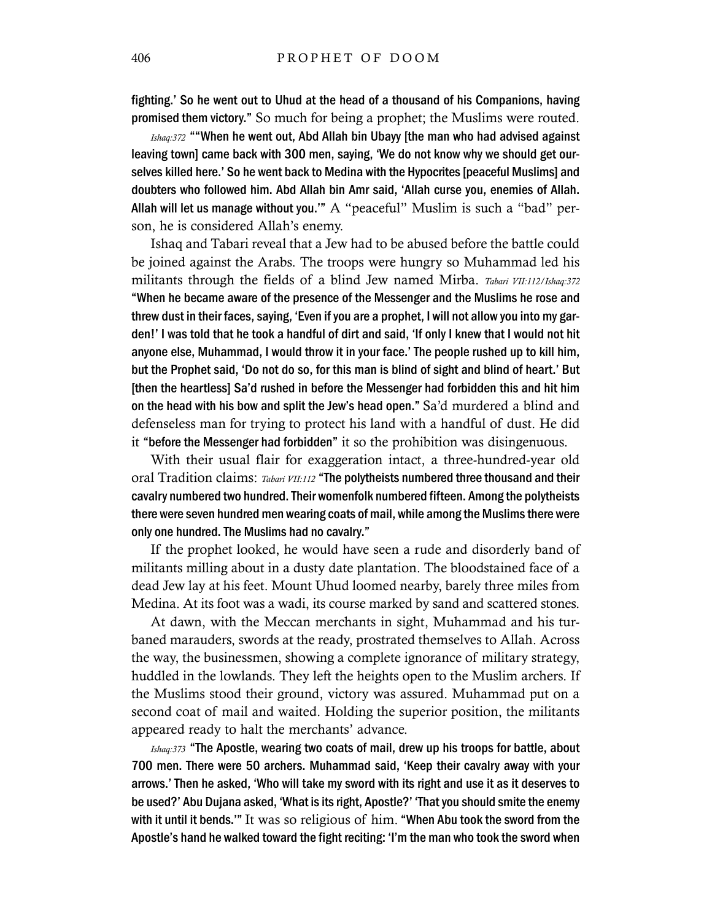fighting.' So he went out to Uhud at the head of a thousand of his Companions, having promised them victory." So much for being a prophet; the Muslims were routed.

*Ishaq:372* ""When he went out, Abd Allah bin Ubayy [the man who had advised against leaving town] came back with 300 men, saying, 'We do not know why we should get ourselves killed here.' So he went back to Medina with the Hypocrites [peaceful Muslims] and doubters who followed him. Abd Allah bin Amr said, 'Allah curse you, enemies of Allah. Allah will let us manage without you.'" A "peaceful" Muslim is such a "bad" person, he is considered Allah's enemy.

Ishaq and Tabari reveal that a Jew had to be abused before the battle could be joined against the Arabs. The troops were hungry so Muhammad led his militants through the fields of a blind Jew named Mirba. *Tabari VII:112/Ishaq:372* "When he became aware of the presence of the Messenger and the Muslims he rose and threw dust in their faces, saying, 'Even if you are a prophet, I will not allow you into my garden!' I was told that he took a handful of dirt and said, 'If only I knew that I would not hit anyone else, Muhammad, I would throw it in your face.' The people rushed up to kill him, but the Prophet said, 'Do not do so, for this man is blind of sight and blind of heart.' But [then the heartless] Sa'd rushed in before the Messenger had forbidden this and hit him on the head with his bow and split the Jew's head open." Sa'd murdered a blind and defenseless man for trying to protect his land with a handful of dust. He did it "before the Messenger had forbidden" it so the prohibition was disingenuous.

With their usual flair for exaggeration intact, a three-hundred-year old oral Tradition claims: *Tabari VII:112* "The polytheists numbered three thousand and their cavalry numbered two hundred. Their womenfolk numbered fifteen. Among the polytheists there were seven hundred men wearing coats of mail, while among the Muslims there were only one hundred. The Muslims had no cavalry."

If the prophet looked, he would have seen a rude and disorderly band of militants milling about in a dusty date plantation. The bloodstained face of a dead Jew lay at his feet. Mount Uhud loomed nearby, barely three miles from Medina. At its foot was a wadi, its course marked by sand and scattered stones.

At dawn, with the Meccan merchants in sight, Muhammad and his turbaned marauders, swords at the ready, prostrated themselves to Allah. Across the way, the businessmen, showing a complete ignorance of military strategy, huddled in the lowlands. They left the heights open to the Muslim archers. If the Muslims stood their ground, victory was assured. Muhammad put on a second coat of mail and waited. Holding the superior position, the militants appeared ready to halt the merchants' advance.

*Ishaq:373* "The Apostle, wearing two coats of mail, drew up his troops for battle, about 700 men. There were 50 archers. Muhammad said, 'Keep their cavalry away with your arrows.' Then he asked, 'Who will take my sword with its right and use it as it deserves to be used?' Abu Dujana asked, 'What is its right, Apostle?' 'That you should smite the enemy with it until it bends.'" It was so religious of him. "When Abu took the sword from the Apostle's hand he walked toward the fight reciting: 'I'm the man who took the sword when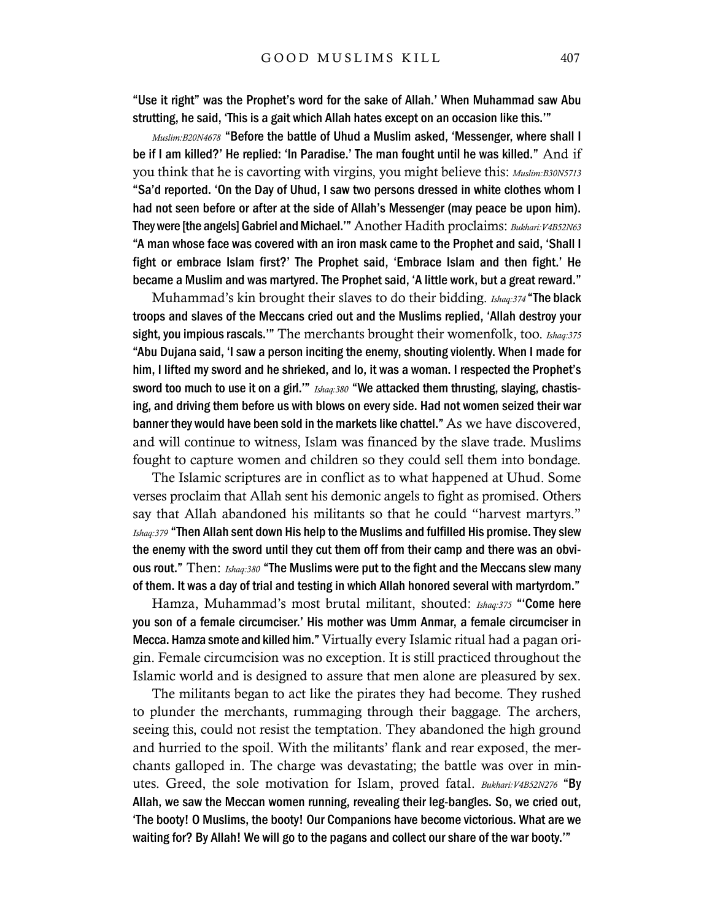"Use it right" was the Prophet's word for the sake of Allah.' When Muhammad saw Abu strutting, he said, 'This is a gait which Allah hates except on an occasion like this.'"

*Muslim:B20N4678* "Before the battle of Uhud a Muslim asked, 'Messenger, where shall I be if I am killed?' He replied: 'In Paradise.' The man fought until he was killed." And if you think that he is cavorting with virgins, you might believe this: *Muslim:B30N5713* "Sa'd reported. 'On the Day of Uhud, I saw two persons dressed in white clothes whom I had not seen before or after at the side of Allah's Messenger (may peace be upon him). They were [the angels] Gabriel and Michael.'" Another Hadith proclaims: *Bukhari:V4B52N63* "A man whose face was covered with an iron mask came to the Prophet and said, 'Shall I fight or embrace Islam first?' The Prophet said, 'Embrace Islam and then fight.' He became a Muslim and was martyred. The Prophet said, 'A little work, but a great reward."

Muhammad's kin brought their slaves to do their bidding. *Ishaq:374* "The black troops and slaves of the Meccans cried out and the Muslims replied, 'Allah destroy your sight, you impious rascals.'" The merchants brought their womenfolk, too. *Ishaq:375* "Abu Dujana said, 'I saw a person inciting the enemy, shouting violently. When I made for him, I lifted my sword and he shrieked, and lo, it was a woman. I respected the Prophet's sword too much to use it on a girl.'" *Ishaq:380* "We attacked them thrusting, slaying, chastising, and driving them before us with blows on every side. Had not women seized their war banner they would have been sold in the markets like chattel." As we have discovered, and will continue to witness, Islam was financed by the slave trade. Muslims fought to capture women and children so they could sell them into bondage.

The Islamic scriptures are in conflict as to what happened at Uhud. Some verses proclaim that Allah sent his demonic angels to fight as promised. Others say that Allah abandoned his militants so that he could "harvest martyrs." *Ishaq:379* "Then Allah sent down His help to the Muslims and fulfilled His promise. They slew the enemy with the sword until they cut them off from their camp and there was an obvious rout." Then: *Ishaq:380* "The Muslims were put to the fight and the Meccans slew many of them. It was a day of trial and testing in which Allah honored several with martyrdom."

Hamza, Muhammad's most brutal militant, shouted: *Ishaq:375* "'Come here you son of a female circumciser.' His mother was Umm Anmar, a female circumciser in Mecca. Hamza smote and killed him." Virtually every Islamic ritual had a pagan origin. Female circumcision was no exception. It is still practiced throughout the Islamic world and is designed to assure that men alone are pleasured by sex.

The militants began to act like the pirates they had become. They rushed to plunder the merchants, rummaging through their baggage. The archers, seeing this, could not resist the temptation. They abandoned the high ground and hurried to the spoil. With the militants' flank and rear exposed, the merchants galloped in. The charge was devastating; the battle was over in minutes. Greed, the sole motivation for Islam, proved fatal. *Bukhari:V4B52N276* "By Allah, we saw the Meccan women running, revealing their leg-bangles. So, we cried out, 'The booty! O Muslims, the booty! Our Companions have become victorious. What are we waiting for? By Allah! We will go to the pagans and collect our share of the war booty.'"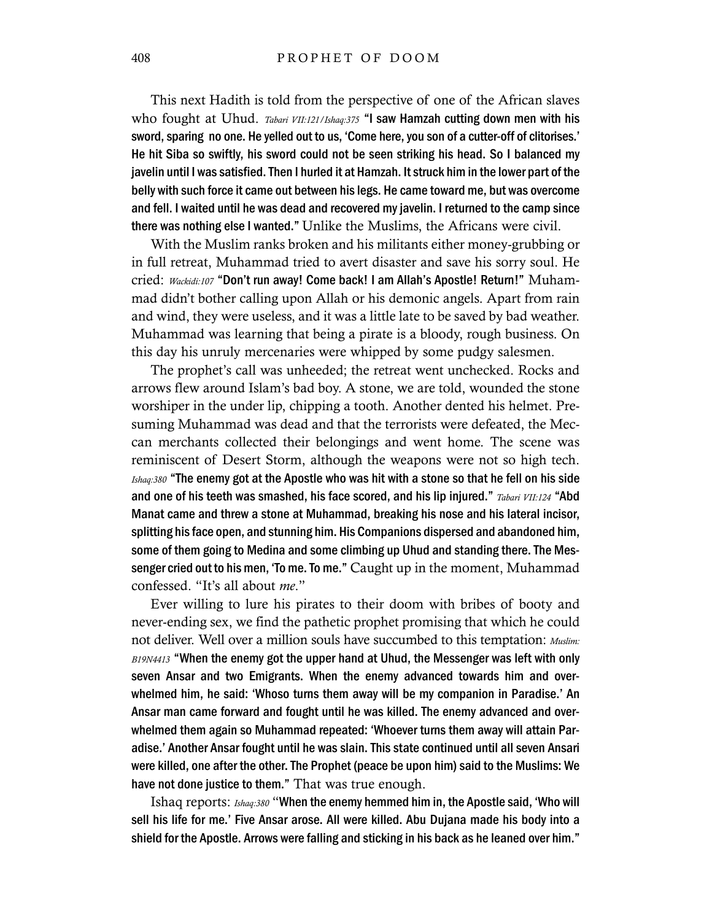This next Hadith is told from the perspective of one of the African slaves who fought at Uhud. *Tabari VII:121/Ishaq:375* "I saw Hamzah cutting down men with his sword, sparing no one. He yelled out to us, 'Come here, you son of a cutter-off of clitorises.' He hit Siba so swiftly, his sword could not be seen striking his head. So I balanced my javelin until I was satisfied. Then I hurled it at Hamzah. It struck him in the lower part of the belly with such force it came out between his legs. He came toward me, but was overcome and fell. I waited until he was dead and recovered my javelin. I returned to the camp since there was nothing else I wanted." Unlike the Muslims, the Africans were civil.

With the Muslim ranks broken and his militants either money-grubbing or in full retreat, Muhammad tried to avert disaster and save his sorry soul. He cried: *Wackidi:107* "Don't run away! Come back! I am Allah's Apostle! Return!" Muhammad didn't bother calling upon Allah or his demonic angels. Apart from rain and wind, they were useless, and it was a little late to be saved by bad weather. Muhammad was learning that being a pirate is a bloody, rough business. On this day his unruly mercenaries were whipped by some pudgy salesmen.

The prophet's call was unheeded; the retreat went unchecked. Rocks and arrows flew around Islam's bad boy. A stone, we are told, wounded the stone worshiper in the under lip, chipping a tooth. Another dented his helmet. Presuming Muhammad was dead and that the terrorists were defeated, the Meccan merchants collected their belongings and went home. The scene was reminiscent of Desert Storm, although the weapons were not so high tech. *Ishaq:380* "The enemy got at the Apostle who was hit with a stone so that he fell on his side and one of his teeth was smashed, his face scored, and his lip injured." *Tabari VII:124* "Abd Manat came and threw a stone at Muhammad, breaking his nose and his lateral incisor, splitting his face open, and stunning him. His Companions dispersed and abandoned him, some of them going to Medina and some climbing up Uhud and standing there. The Messenger cried out to his men, 'To me. To me." Caught up in the moment, Muhammad confessed. "It's all about *me*."

Ever willing to lure his pirates to their doom with bribes of booty and never-ending sex, we find the pathetic prophet promising that which he could not deliver. Well over a million souls have succumbed to this temptation: *Muslim: B19N4413* "When the enemy got the upper hand at Uhud, the Messenger was left with only seven Ansar and two Emigrants. When the enemy advanced towards him and overwhelmed him, he said: 'Whoso turns them away will be my companion in Paradise.' An Ansar man came forward and fought until he was killed. The enemy advanced and overwhelmed them again so Muhammad repeated: 'Whoever turns them away will attain Paradise.' Another Ansar fought until he was slain. This state continued until all seven Ansari were killed, one after the other. The Prophet (peace be upon him) said to the Muslims: We have not done justice to them." That was true enough.

Ishaq reports: *Ishaq:380* "When the enemy hemmed him in, the Apostle said, 'Who will sell his life for me.' Five Ansar arose. All were killed. Abu Dujana made his body into a shield for the Apostle. Arrows were falling and sticking in his back as he leaned over him."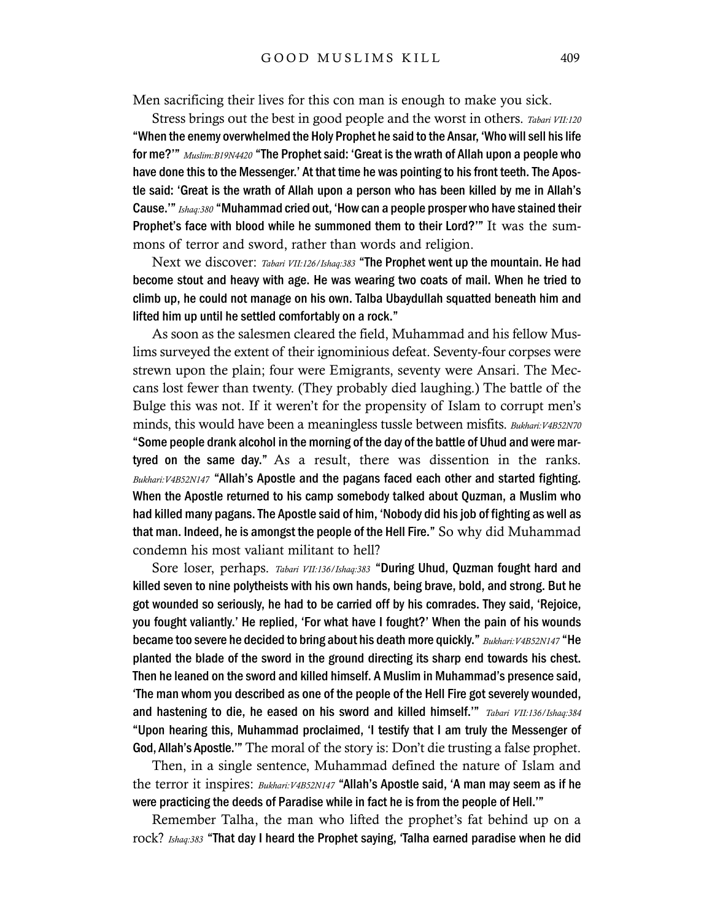Men sacrificing their lives for this con man is enough to make you sick.

Stress brings out the best in good people and the worst in others. *Tabari VII:120* "When the enemy overwhelmed the Holy Prophet he said to the Ansar, 'Who will sell his life for me?'" *Muslim:B19N4420* "The Prophet said: 'Great is the wrath of Allah upon a people who have done this to the Messenger.' At that time he was pointing to his front teeth. The Apostle said: 'Great is the wrath of Allah upon a person who has been killed by me in Allah's Cause.'" *Ishaq:380* "Muhammad cried out, 'How can a people prosper who have stained their Prophet's face with blood while he summoned them to their Lord?'" It was the summons of terror and sword, rather than words and religion.

Next we discover: *Tabari VII:126/Ishaq:383* "The Prophet went up the mountain. He had become stout and heavy with age. He was wearing two coats of mail. When he tried to climb up, he could not manage on his own. Talba Ubaydullah squatted beneath him and lifted him up until he settled comfortably on a rock."

As soon as the salesmen cleared the field, Muhammad and his fellow Muslims surveyed the extent of their ignominious defeat. Seventy-four corpses were strewn upon the plain; four were Emigrants, seventy were Ansari. The Meccans lost fewer than twenty. (They probably died laughing.) The battle of the Bulge this was not. If it weren't for the propensity of Islam to corrupt men's minds, this would have been a meaningless tussle between misfits. *Bukhari:V4B52N70* "Some people drank alcohol in the morning of the day of the battle of Uhud and were martyred on the same day." As a result, there was dissention in the ranks. *Bukhari:V4B52N147* "Allah's Apostle and the pagans faced each other and started fighting. When the Apostle returned to his camp somebody talked about Quzman, a Muslim who had killed many pagans. The Apostle said of him, 'Nobody did his job of fighting as well as that man. Indeed, he is amongst the people of the Hell Fire." So why did Muhammad condemn his most valiant militant to hell?

Sore loser, perhaps. *Tabari VII:136/Ishaq:383* "During Uhud, Quzman fought hard and killed seven to nine polytheists with his own hands, being brave, bold, and strong. But he got wounded so seriously, he had to be carried off by his comrades. They said, 'Rejoice, you fought valiantly.' He replied, 'For what have I fought?' When the pain of his wounds became too severe he decided to bring about his death more quickly." *Bukhari:V4B52N147* "He planted the blade of the sword in the ground directing its sharp end towards his chest. Then he leaned on the sword and killed himself. A Muslim in Muhammad's presence said, 'The man whom you described as one of the people of the Hell Fire got severely wounded, and hastening to die, he eased on his sword and killed himself.'" *Tabari VII:136/Ishaq:384* "Upon hearing this, Muhammad proclaimed, 'I testify that I am truly the Messenger of God, Allah's Apostle.'" The moral of the story is: Don't die trusting a false prophet.

Then, in a single sentence, Muhammad defined the nature of Islam and the terror it inspires: *Bukhari:V4B52N147* "Allah's Apostle said, 'A man may seem as if he were practicing the deeds of Paradise while in fact he is from the people of Hell.'"

Remember Talha, the man who lifted the prophet's fat behind up on a rock? *Ishaq:383* "That day I heard the Prophet saying, 'Talha earned paradise when he did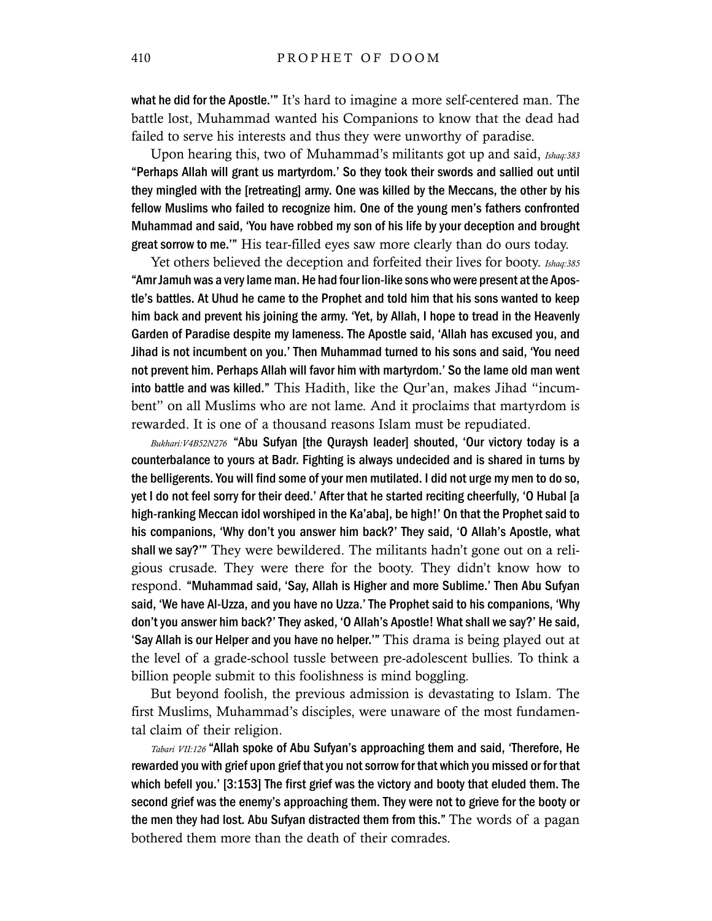what he did for the Apostle.'" It's hard to imagine a more self-centered man. The battle lost, Muhammad wanted his Companions to know that the dead had failed to serve his interests and thus they were unworthy of paradise.

Upon hearing this, two of Muhammad's militants got up and said, *Ishaq:383* "Perhaps Allah will grant us martyrdom.' So they took their swords and sallied out until they mingled with the [retreating] army. One was killed by the Meccans, the other by his fellow Muslims who failed to recognize him. One of the young men's fathers confronted Muhammad and said, 'You have robbed my son of his life by your deception and brought great sorrow to me.'" His tear-filled eyes saw more clearly than do ours today.

Yet others believed the deception and forfeited their lives for booty. *Ishaq:385* "Amr Jamuh was a very lame man. He had four lion-like sons who were present at the Apostle's battles. At Uhud he came to the Prophet and told him that his sons wanted to keep him back and prevent his joining the army. 'Yet, by Allah, I hope to tread in the Heavenly Garden of Paradise despite my lameness. The Apostle said, 'Allah has excused you, and Jihad is not incumbent on you.' Then Muhammad turned to his sons and said, 'You need not prevent him. Perhaps Allah will favor him with martyrdom.' So the lame old man went into battle and was killed." This Hadith, like the Qur'an, makes Jihad "incumbent" on all Muslims who are not lame. And it proclaims that martyrdom is rewarded. It is one of a thousand reasons Islam must be repudiated.

*Bukhari:V4B52N276* "Abu Sufyan [the Quraysh leader] shouted, 'Our victory today is a counterbalance to yours at Badr. Fighting is always undecided and is shared in turns by the belligerents. You will find some of your men mutilated. I did not urge my men to do so, yet I do not feel sorry for their deed.' After that he started reciting cheerfully, 'O Hubal [a high-ranking Meccan idol worshiped in the Ka'aba], be high!' On that the Prophet said to his companions, 'Why don't you answer him back?' They said, 'O Allah's Apostle, what shall we say?'" They were bewildered. The militants hadn't gone out on a religious crusade. They were there for the booty. They didn't know how to respond. "Muhammad said, 'Say, Allah is Higher and more Sublime.' Then Abu Sufyan said, 'We have Al-Uzza, and you have no Uzza.' The Prophet said to his companions, 'Why don't you answer him back?' They asked, 'O Allah's Apostle! What shall we say?' He said, 'Say Allah is our Helper and you have no helper.'" This drama is being played out at the level of a grade-school tussle between pre-adolescent bullies. To think a billion people submit to this foolishness is mind boggling.

But beyond foolish, the previous admission is devastating to Islam. The first Muslims, Muhammad's disciples, were unaware of the most fundamental claim of their religion.

*Tabari VII:126* "Allah spoke of Abu Sufyan's approaching them and said, 'Therefore, He rewarded you with grief upon grief that you not sorrow for that which you missed or for that which befell you.' [3:153] The first grief was the victory and booty that eluded them. The second grief was the enemy's approaching them. They were not to grieve for the booty or the men they had lost. Abu Sufyan distracted them from this." The words of a pagan bothered them more than the death of their comrades.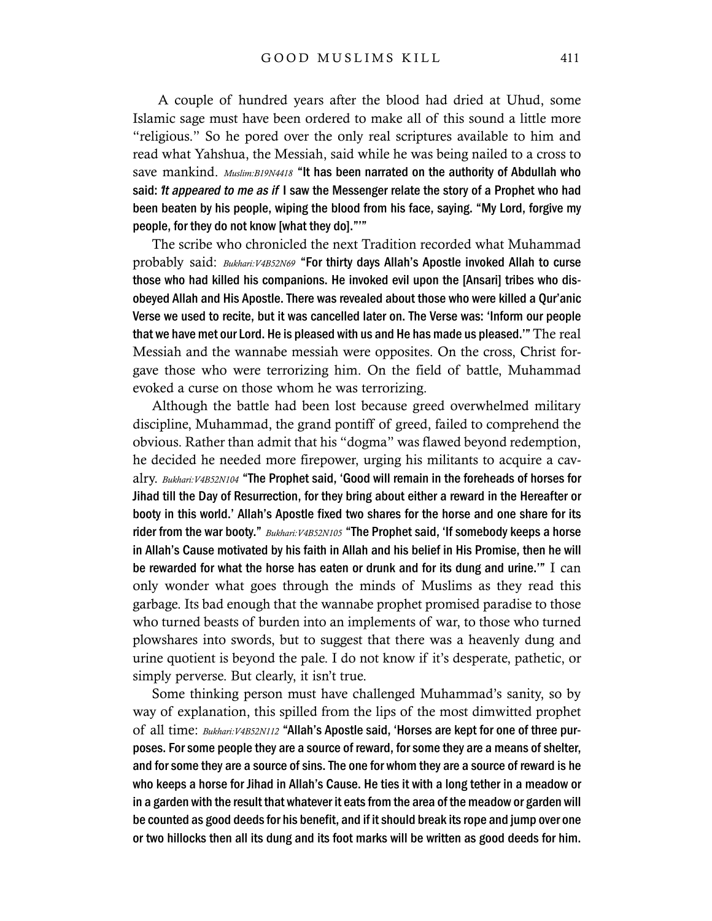A couple of hundred years after the blood had dried at Uhud, some Islamic sage must have been ordered to make all of this sound a little more "religious." So he pored over the only real scriptures available to him and read what Yahshua, the Messiah, said while he was being nailed to a cross to save mankind. *Muslim:B19N4418* "It has been narrated on the authority of Abdullah who said: It appeared to me as if I saw the Messenger relate the story of a Prophet who had been beaten by his people, wiping the blood from his face, saying. "My Lord, forgive my people, for they do not know [what they do]."'"

The scribe who chronicled the next Tradition recorded what Muhammad probably said: *Bukhari:V4B52N69* "For thirty days Allah's Apostle invoked Allah to curse those who had killed his companions. He invoked evil upon the [Ansari] tribes who disobeyed Allah and His Apostle. There was revealed about those who were killed a Qur'anic Verse we used to recite, but it was cancelled later on. The Verse was: 'Inform our people that we have met our Lord. He is pleased with us and He has made us pleased.'" The real Messiah and the wannabe messiah were opposites. On the cross, Christ forgave those who were terrorizing him. On the field of battle, Muhammad evoked a curse on those whom he was terrorizing.

Although the battle had been lost because greed overwhelmed military discipline, Muhammad, the grand pontiff of greed, failed to comprehend the obvious. Rather than admit that his "dogma" was flawed beyond redemption, he decided he needed more firepower, urging his militants to acquire a cavalry. *Bukhari:V4B52N104* "The Prophet said, 'Good will remain in the foreheads of horses for Jihad till the Day of Resurrection, for they bring about either a reward in the Hereafter or booty in this world.' Allah's Apostle fixed two shares for the horse and one share for its rider from the war booty." *Bukhari:V4B52N105* "The Prophet said, 'If somebody keeps a horse in Allah's Cause motivated by his faith in Allah and his belief in His Promise, then he will be rewarded for what the horse has eaten or drunk and for its dung and urine." I can only wonder what goes through the minds of Muslims as they read this garbage. Its bad enough that the wannabe prophet promised paradise to those who turned beasts of burden into an implements of war, to those who turned plowshares into swords, but to suggest that there was a heavenly dung and urine quotient is beyond the pale. I do not know if it's desperate, pathetic, or simply perverse. But clearly, it isn't true.

Some thinking person must have challenged Muhammad's sanity, so by way of explanation, this spilled from the lips of the most dimwitted prophet of all time: *Bukhari:V4B52N112* "Allah's Apostle said, 'Horses are kept for one of three purposes. For some people they are a source of reward, for some they are a means of shelter, and for some they are a source of sins. The one for whom they are a source of reward is he who keeps a horse for Jihad in Allah's Cause. He ties it with a long tether in a meadow or in a garden with the result that whatever it eats from the area of the meadow or garden will be counted as good deeds for his benefit, and if it should break its rope and jump over one or two hillocks then all its dung and its foot marks will be written as good deeds for him.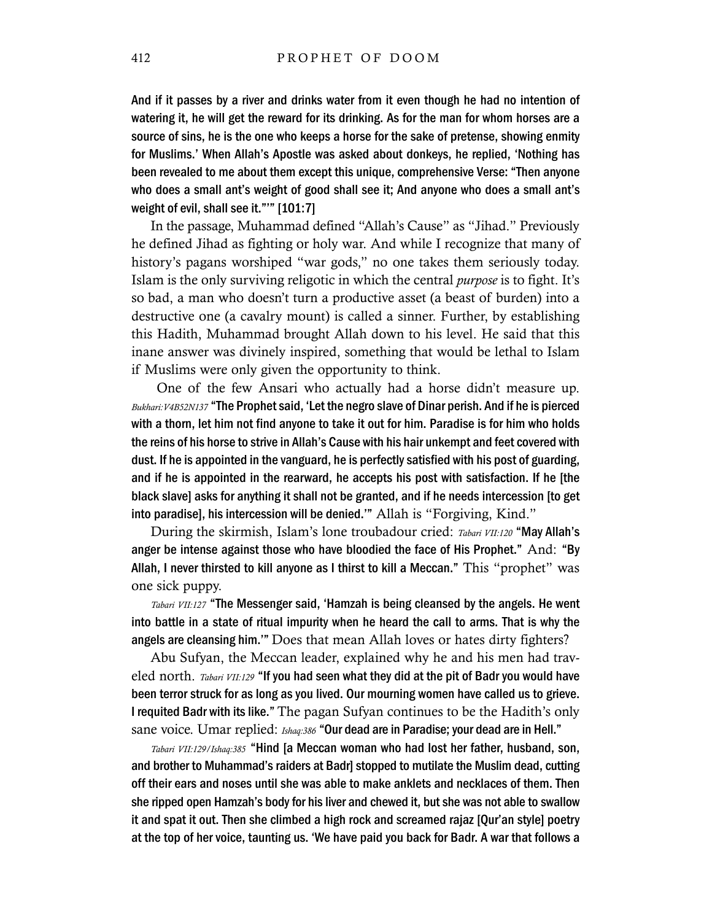And if it passes by a river and drinks water from it even though he had no intention of watering it, he will get the reward for its drinking. As for the man for whom horses are a source of sins, he is the one who keeps a horse for the sake of pretense, showing enmity for Muslims.' When Allah's Apostle was asked about donkeys, he replied, 'Nothing has been revealed to me about them except this unique, comprehensive Verse: "Then anyone who does a small ant's weight of good shall see it; And anyone who does a small ant's weight of evil, shall see it.""" [101:7]

In the passage, Muhammad defined "Allah's Cause" as "Jihad." Previously he defined Jihad as fighting or holy war. And while I recognize that many of history's pagans worshiped "war gods," no one takes them seriously today. Islam is the only surviving religotic in which the central *purpose* is to fight. It's so bad, a man who doesn't turn a productive asset (a beast of burden) into a destructive one (a cavalry mount) is called a sinner. Further, by establishing this Hadith, Muhammad brought Allah down to his level. He said that this inane answer was divinely inspired, something that would be lethal to Islam if Muslims were only given the opportunity to think.

One of the few Ansari who actually had a horse didn't measure up. *Bukhari:V4B52N137* "The Prophet said, 'Let the negro slave of Dinar perish. And if he is pierced with a thorn, let him not find anyone to take it out for him. Paradise is for him who holds the reins of his horse to strive in Allah's Cause with his hair unkempt and feet covered with dust. If he is appointed in the vanguard, he is perfectly satisfied with his post of guarding, and if he is appointed in the rearward, he accepts his post with satisfaction. If he [the black slave] asks for anything it shall not be granted, and if he needs intercession [to get into paradise], his intercession will be denied.'" Allah is "Forgiving, Kind."

During the skirmish, Islam's lone troubadour cried: *Tabari VII:120* "May Allah's anger be intense against those who have bloodied the face of His Prophet." And: "By Allah, I never thirsted to kill anyone as I thirst to kill a Meccan." This "prophet" was one sick puppy.

*Tabari VII:127* "The Messenger said, 'Hamzah is being cleansed by the angels. He went into battle in a state of ritual impurity when he heard the call to arms. That is why the angels are cleansing him.'" Does that mean Allah loves or hates dirty fighters?

Abu Sufyan, the Meccan leader, explained why he and his men had traveled north. *Tabari VII:129* "If you had seen what they did at the pit of Badr you would have been terror struck for as long as you lived. Our mourning women have called us to grieve. I requited Badr with its like." The pagan Sufyan continues to be the Hadith's only sane voice. Umar replied: *Ishaq:386* "Our dead are in Paradise; your dead are in Hell."

*Tabari VII:129/Ishaq:385* "Hind [a Meccan woman who had lost her father, husband, son, and brother to Muhammad's raiders at Badr] stopped to mutilate the Muslim dead, cutting off their ears and noses until she was able to make anklets and necklaces of them. Then she ripped open Hamzah's body for his liver and chewed it, but she was not able to swallow it and spat it out. Then she climbed a high rock and screamed rajaz [Qur'an style] poetry at the top of her voice, taunting us. 'We have paid you back for Badr. A war that follows a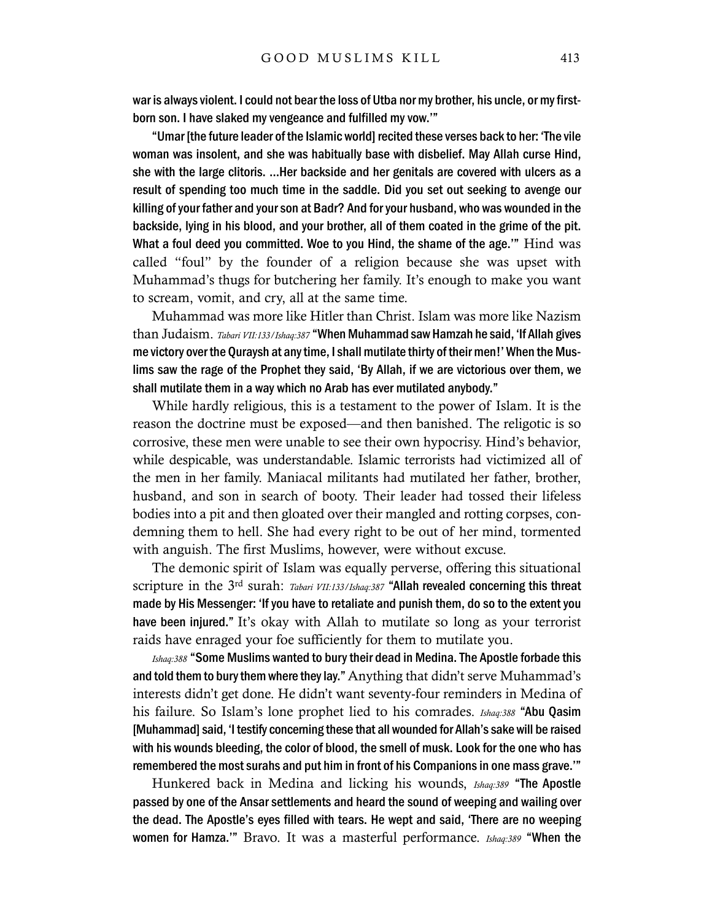war is always violent. I could not bear the loss of Utba nor my brother, his uncle, or my firstborn son. I have slaked my vengeance and fulfilled my vow.'"

"Umar [the future leader of the Islamic world] recited these verses back to her: 'The vile woman was insolent, and she was habitually base with disbelief. May Allah curse Hind, she with the large clitoris. …Her backside and her genitals are covered with ulcers as a result of spending too much time in the saddle. Did you set out seeking to avenge our killing of your father and your son at Badr? And for your husband, who was wounded in the backside, lying in his blood, and your brother, all of them coated in the grime of the pit. What a foul deed you committed. Woe to you Hind, the shame of the age.'" Hind was called "foul" by the founder of a religion because she was upset with Muhammad's thugs for butchering her family. It's enough to make you want to scream, vomit, and cry, all at the same time.

Muhammad was more like Hitler than Christ. Islam was more like Nazism than Judaism. *Tabari VII:133/Ishaq:387* "When Muhammad saw Hamzah he said, 'If Allah gives me victory over the Quraysh at any time, I shall mutilate thirty of their men!' When the Muslims saw the rage of the Prophet they said, 'By Allah, if we are victorious over them, we shall mutilate them in a way which no Arab has ever mutilated anybody."

While hardly religious, this is a testament to the power of Islam. It is the reason the doctrine must be exposed—and then banished. The religotic is so corrosive, these men were unable to see their own hypocrisy. Hind's behavior, while despicable, was understandable. Islamic terrorists had victimized all of the men in her family. Maniacal militants had mutilated her father, brother, husband, and son in search of booty. Their leader had tossed their lifeless bodies into a pit and then gloated over their mangled and rotting corpses, condemning them to hell. She had every right to be out of her mind, tormented with anguish. The first Muslims, however, were without excuse.

The demonic spirit of Islam was equally perverse, offering this situational scripture in the 3<sup>rd</sup> surah: *Tabari VII:133/Ishaq:387* "Allah revealed concerning this threat made by His Messenger: 'If you have to retaliate and punish them, do so to the extent you have been injured." It's okay with Allah to mutilate so long as your terrorist raids have enraged your foe sufficiently for them to mutilate you.

*Ishaq:388* "Some Muslims wanted to bury their dead in Medina. The Apostle forbade this and told them to bury them where they lay." Anything that didn't serve Muhammad's interests didn't get done. He didn't want seventy-four reminders in Medina of his failure. So Islam's lone prophet lied to his comrades. *Ishaq:388* "Abu Qasim [Muhammad] said, 'I testify concerning these that all wounded for Allah's sake will be raised with his wounds bleeding, the color of blood, the smell of musk. Look for the one who has remembered the most surahs and put him in front of his Companions in one mass grave.'"

Hunkered back in Medina and licking his wounds, *Ishaq:389* "The Apostle passed by one of the Ansar settlements and heard the sound of weeping and wailing over the dead. The Apostle's eyes filled with tears. He wept and said, 'There are no weeping women for Hamza.'" Bravo. It was a masterful performance. *Ishaq:389* "When the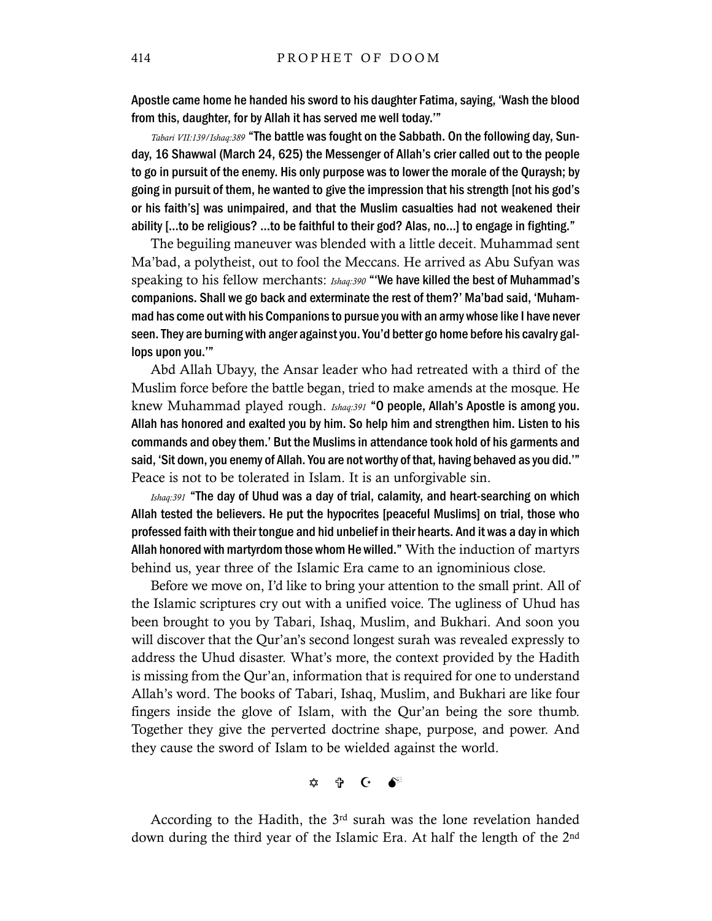Apostle came home he handed his sword to his daughter Fatima, saying, 'Wash the blood from this, daughter, for by Allah it has served me well today.'"

*Tabari VII:139/Ishaq:389* "The battle was fought on the Sabbath. On the following day, Sunday, 16 Shawwal (March 24, 625) the Messenger of Allah's crier called out to the people to go in pursuit of the enemy. His only purpose was to lower the morale of the Quraysh; by going in pursuit of them, he wanted to give the impression that his strength [not his god's or his faith's] was unimpaired, and that the Muslim casualties had not weakened their ability […to be religious? …to be faithful to their god? Alas, no…] to engage in fighting."

The beguiling maneuver was blended with a little deceit. Muhammad sent Ma'bad, a polytheist, out to fool the Meccans. He arrived as Abu Sufyan was speaking to his fellow merchants: *Ishaq:390* "'We have killed the best of Muhammad's companions. Shall we go back and exterminate the rest of them?' Ma'bad said, 'Muhammad has come out with his Companions to pursue you with an army whose like I have never seen. They are burning with anger against you. You'd better go home before his cavalry gallops upon you.'"

Abd Allah Ubayy, the Ansar leader who had retreated with a third of the Muslim force before the battle began, tried to make amends at the mosque. He knew Muhammad played rough. *Ishaq:391* "O people, Allah's Apostle is among you. Allah has honored and exalted you by him. So help him and strengthen him. Listen to his commands and obey them.' But the Muslims in attendance took hold of his garments and said, 'Sit down, you enemy of Allah. You are not worthy of that, having behaved as you did.'" Peace is not to be tolerated in Islam. It is an unforgivable sin.

*Ishaq:391* "The day of Uhud was a day of trial, calamity, and heart-searching on which Allah tested the believers. He put the hypocrites [peaceful Muslims] on trial, those who professed faith with their tongue and hid unbelief in their hearts. And it was a day in which Allah honored with martyrdom those whom He willed." With the induction of martyrs behind us, year three of the Islamic Era came to an ignominious close.

Before we move on, I'd like to bring your attention to the small print. All of the Islamic scriptures cry out with a unified voice. The ugliness of Uhud has been brought to you by Tabari, Ishaq, Muslim, and Bukhari. And soon you will discover that the Qur'an's second longest surah was revealed expressly to address the Uhud disaster. What's more, the context provided by the Hadith is missing from the Qur'an, information that is required for one to understand Allah's word. The books of Tabari, Ishaq, Muslim, and Bukhari are like four fingers inside the glove of Islam, with the Qur'an being the sore thumb. Together they give the perverted doctrine shape, purpose, and power. And they cause the sword of Islam to be wielded against the world.

**☆ 中 C 6<sup>%</sup>** 

According to the Hadith, the 3rd surah was the lone revelation handed down during the third year of the Islamic Era. At half the length of the 2nd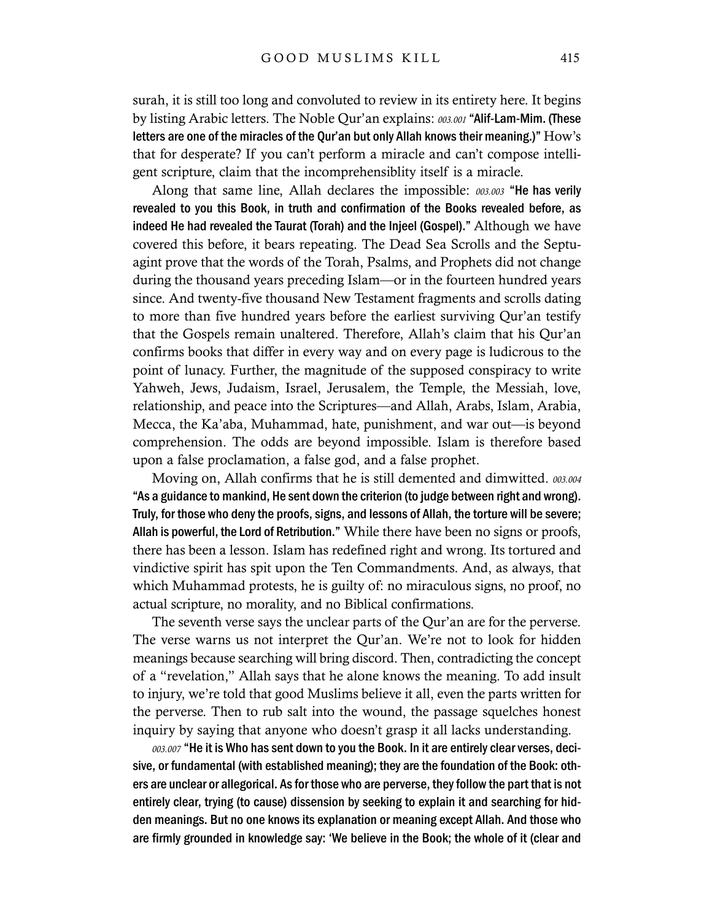surah, it is still too long and convoluted to review in its entirety here. It begins by listing Arabic letters. The Noble Qur'an explains: *003.001* "Alif-Lam-Mim. (These letters are one of the miracles of the Qur'an but only Allah knows their meaning.)" How's that for desperate? If you can't perform a miracle and can't compose intelligent scripture, claim that the incomprehensiblity itself is a miracle.

Along that same line, Allah declares the impossible: *003.003* "He has verily revealed to you this Book, in truth and confirmation of the Books revealed before, as indeed He had revealed the Taurat (Torah) and the Injeel (Gospel)." Although we have covered this before, it bears repeating. The Dead Sea Scrolls and the Septuagint prove that the words of the Torah, Psalms, and Prophets did not change during the thousand years preceding Islam—or in the fourteen hundred years since. And twenty-five thousand New Testament fragments and scrolls dating to more than five hundred years before the earliest surviving Qur'an testify that the Gospels remain unaltered. Therefore, Allah's claim that his Qur'an confirms books that differ in every way and on every page is ludicrous to the point of lunacy. Further, the magnitude of the supposed conspiracy to write Yahweh, Jews, Judaism, Israel, Jerusalem, the Temple, the Messiah, love, relationship, and peace into the Scriptures—and Allah, Arabs, Islam, Arabia, Mecca, the Ka'aba, Muhammad, hate, punishment, and war out—is beyond comprehension. The odds are beyond impossible. Islam is therefore based upon a false proclamation, a false god, and a false prophet.

Moving on, Allah confirms that he is still demented and dimwitted. *003.004* "As a guidance to mankind, He sent down the criterion (to judge between right and wrong). Truly, for those who deny the proofs, signs, and lessons of Allah, the torture will be severe; Allah is powerful, the Lord of Retribution." While there have been no signs or proofs, there has been a lesson. Islam has redefined right and wrong. Its tortured and vindictive spirit has spit upon the Ten Commandments. And, as always, that which Muhammad protests, he is guilty of: no miraculous signs, no proof, no actual scripture, no morality, and no Biblical confirmations.

The seventh verse says the unclear parts of the Qur'an are for the perverse. The verse warns us not interpret the Qur'an. We're not to look for hidden meanings because searching will bring discord. Then, contradicting the concept of a "revelation," Allah says that he alone knows the meaning. To add insult to injury, we're told that good Muslims believe it all, even the parts written for the perverse. Then to rub salt into the wound, the passage squelches honest inquiry by saying that anyone who doesn't grasp it all lacks understanding.

*003.007* "He it is Who has sent down to you the Book. In it are entirely clear verses, decisive, or fundamental (with established meaning); they are the foundation of the Book: others are unclear or allegorical. As for those who are perverse, they follow the part that is not entirely clear, trying (to cause) dissension by seeking to explain it and searching for hidden meanings. But no one knows its explanation or meaning except Allah. And those who are firmly grounded in knowledge say: 'We believe in the Book; the whole of it (clear and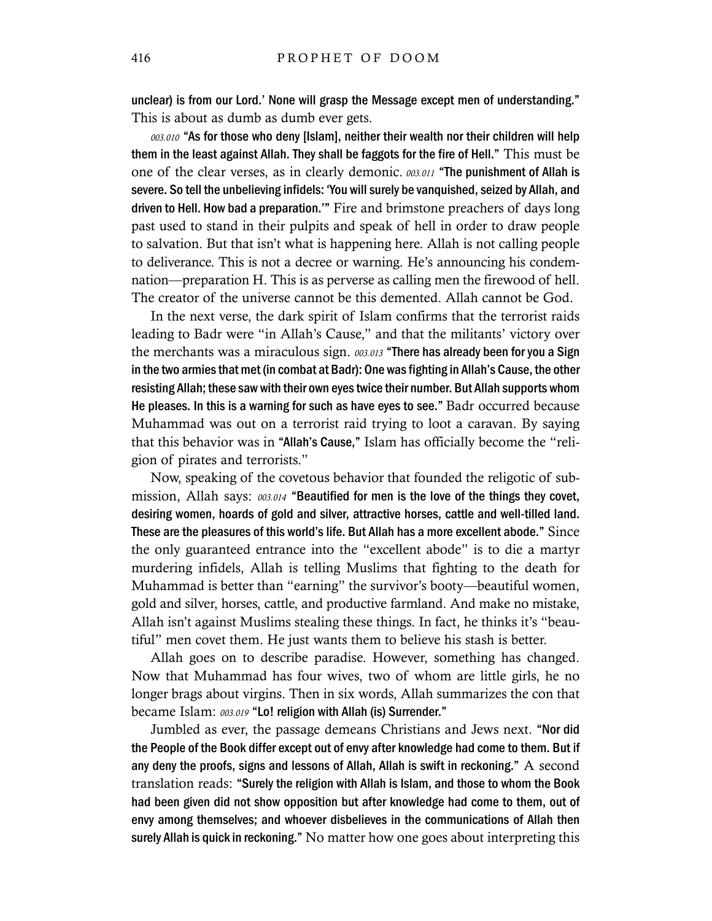unclear) is from our Lord.' None will grasp the Message except men of understanding." This is about as dumb as dumb ever gets.

*003.010* "As for those who deny [Islam], neither their wealth nor their children will help them in the least against Allah. They shall be faggots for the fire of Hell." This must be one of the clear verses, as in clearly demonic. *003.011* "The punishment of Allah is severe. So tell the unbelieving infidels: 'You will surely be vanquished, seized by Allah, and driven to Hell. How bad a preparation.'" Fire and brimstone preachers of days long past used to stand in their pulpits and speak of hell in order to draw people to salvation. But that isn't what is happening here. Allah is not calling people to deliverance. This is not a decree or warning. He's announcing his condemnation—preparation H. This is as perverse as calling men the firewood of hell. The creator of the universe cannot be this demented. Allah cannot be God.

In the next verse, the dark spirit of Islam confirms that the terrorist raids leading to Badr were "in Allah's Cause," and that the militants' victory over the merchants was a miraculous sign. *003.013* "There has already been for you a Sign in the two armies that met (in combat at Badr): One was fighting in Allah's Cause, the other resisting Allah; these saw with their own eyes twice their number. But Allah supports whom He pleases. In this is a warning for such as have eyes to see." Badr occurred because Muhammad was out on a terrorist raid trying to loot a caravan. By saying that this behavior was in "Allah's Cause," Islam has officially become the "religion of pirates and terrorists."

Now, speaking of the covetous behavior that founded the religotic of submission, Allah says: *003.014* "Beautified for men is the love of the things they covet, desiring women, hoards of gold and silver, attractive horses, cattle and well-tilled land. These are the pleasures of this world's life. But Allah has a more excellent abode." Since the only guaranteed entrance into the "excellent abode" is to die a martyr murdering infidels, Allah is telling Muslims that fighting to the death for Muhammad is better than "earning" the survivor's booty—beautiful women, gold and silver, horses, cattle, and productive farmland. And make no mistake, Allah isn't against Muslims stealing these things. In fact, he thinks it's "beautiful" men covet them. He just wants them to believe his stash is better.

Allah goes on to describe paradise. However, something has changed. Now that Muhammad has four wives, two of whom are little girls, he no longer brags about virgins. Then in six words, Allah summarizes the con that became Islam: *003.019* "Lo! religion with Allah (is) Surrender."

Jumbled as ever, the passage demeans Christians and Jews next. "Nor did the People of the Book differ except out of envy after knowledge had come to them. But if any deny the proofs, signs and lessons of Allah, Allah is swift in reckoning." A second translation reads: "Surely the religion with Allah is Islam, and those to whom the Book had been given did not show opposition but after knowledge had come to them, out of envy among themselves; and whoever disbelieves in the communications of Allah then surely Allah is quick in reckoning." No matter how one goes about interpreting this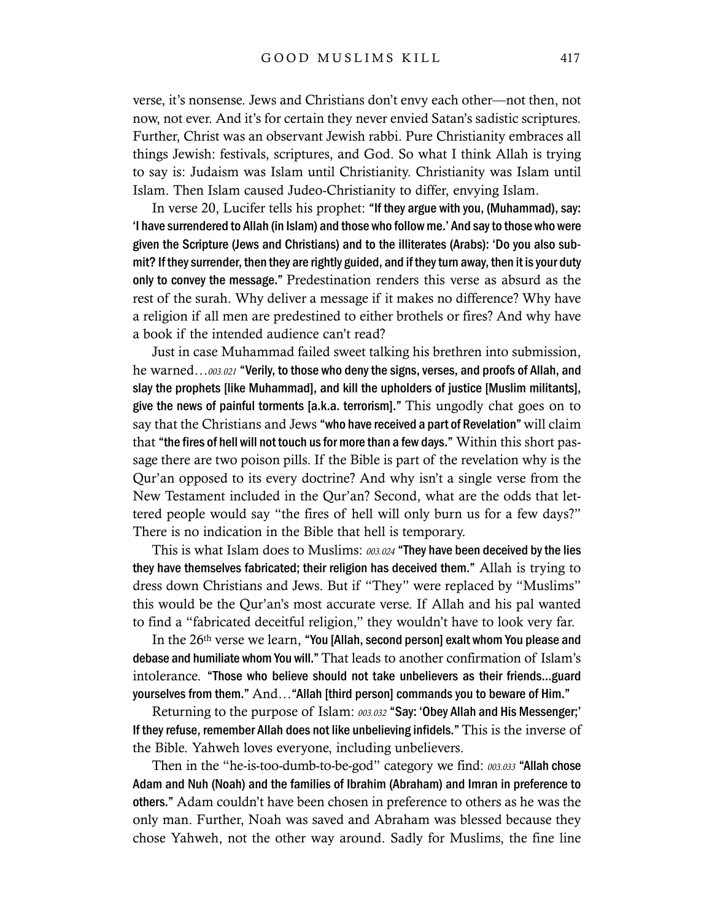verse, it's nonsense. Jews and Christians don't envy each other—not then, not now, not ever. And it's for certain they never envied Satan's sadistic scriptures. Further, Christ was an observant Jewish rabbi. Pure Christianity embraces all things Jewish: festivals, scriptures, and God. So what I think Allah is trying to say is: Judaism was Islam until Christianity. Christianity was Islam until Islam. Then Islam caused Judeo-Christianity to differ, envying Islam.

In verse 20, Lucifer tells his prophet: "If they argue with you, (Muhammad), say: 'I have surrendered to Allah (in Islam) and those who follow me.' And say to those who were given the Scripture (Jews and Christians) and to the illiterates (Arabs): 'Do you also submit? If they surrender, then they are rightly guided, and if they turn away, then it is your duty only to convey the message." Predestination renders this verse as absurd as the rest of the surah. Why deliver a message if it makes no difference? Why have a religion if all men are predestined to either brothels or fires? And why have a book if the intended audience can't read?

Just in case Muhammad failed sweet talking his brethren into submission, he warned…*003.021* "Verily, to those who deny the signs, verses, and proofs of Allah, and slay the prophets [like Muhammad], and kill the upholders of justice [Muslim militants], give the news of painful torments [a.k.a. terrorism]." This ungodly chat goes on to say that the Christians and Jews "who have received a part of Revelation" will claim that "the fires of hell will not touch us for more than a few days." Within this short passage there are two poison pills. If the Bible is part of the revelation why is the Qur'an opposed to its every doctrine? And why isn't a single verse from the New Testament included in the Qur'an? Second, what are the odds that lettered people would say "the fires of hell will only burn us for a few days?" There is no indication in the Bible that hell is temporary.

This is what Islam does to Muslims: *003.024* "They have been deceived by the lies they have themselves fabricated; their religion has deceived them." Allah is trying to dress down Christians and Jews. But if "They" were replaced by "Muslims" this would be the Qur'an's most accurate verse. If Allah and his pal wanted to find a "fabricated deceitful religion," they wouldn't have to look very far.

In the 26th verse we learn, "You [Allah, second person] exalt whom You please and debase and humiliate whom You will." That leads to another confirmation of Islam's intolerance. "Those who believe should not take unbelievers as their friends…guard yourselves from them." And…"Allah [third person] commands you to beware of Him."

Returning to the purpose of Islam: *003.032* "Say: 'Obey Allah and His Messenger;' If they refuse, remember Allah does not like unbelieving infidels." This is the inverse of the Bible. Yahweh loves everyone, including unbelievers.

Then in the "he-is-too-dumb-to-be-god" category we find: *003.033* "Allah chose Adam and Nuh (Noah) and the families of Ibrahim (Abraham) and Imran in preference to others." Adam couldn't have been chosen in preference to others as he was the only man. Further, Noah was saved and Abraham was blessed because they chose Yahweh, not the other way around. Sadly for Muslims, the fine line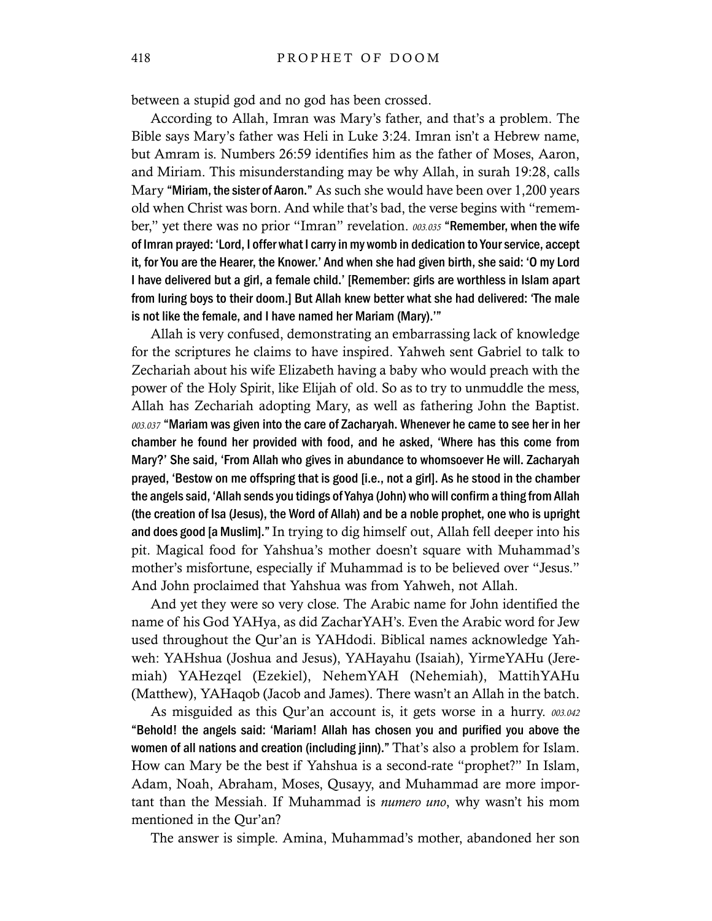between a stupid god and no god has been crossed.

According to Allah, Imran was Mary's father, and that's a problem. The Bible says Mary's father was Heli in Luke 3:24. Imran isn't a Hebrew name, but Amram is. Numbers 26:59 identifies him as the father of Moses, Aaron, and Miriam. This misunderstanding may be why Allah, in surah 19:28, calls Mary "Miriam, the sister of Aaron." As such she would have been over 1,200 years old when Christ was born. And while that's bad, the verse begins with "remember," yet there was no prior "Imran" revelation. *003.035* "Remember, when the wife of Imran prayed: 'Lord, I offer what I carry in my womb in dedication to Your service, accept it, for You are the Hearer, the Knower.' And when she had given birth, she said: 'O my Lord I have delivered but a girl, a female child.' [Remember: girls are worthless in Islam apart from luring boys to their doom.] But Allah knew better what she had delivered: 'The male is not like the female, and I have named her Mariam (Mary).'"

Allah is very confused, demonstrating an embarrassing lack of knowledge for the scriptures he claims to have inspired. Yahweh sent Gabriel to talk to Zechariah about his wife Elizabeth having a baby who would preach with the power of the Holy Spirit, like Elijah of old. So as to try to unmuddle the mess, Allah has Zechariah adopting Mary, as well as fathering John the Baptist. *003.037* "Mariam was given into the care of Zacharyah. Whenever he came to see her in her chamber he found her provided with food, and he asked, 'Where has this come from Mary?' She said, 'From Allah who gives in abundance to whomsoever He will. Zacharyah prayed, 'Bestow on me offspring that is good [i.e., not a girl]. As he stood in the chamber the angels said, 'Allah sends you tidings of Yahya (John) who will confirm a thing from Allah (the creation of Isa (Jesus), the Word of Allah) and be a noble prophet, one who is upright and does good [a Muslim]." In trying to dig himself out, Allah fell deeper into his pit. Magical food for Yahshua's mother doesn't square with Muhammad's mother's misfortune, especially if Muhammad is to be believed over "Jesus." And John proclaimed that Yahshua was from Yahweh, not Allah.

And yet they were so very close. The Arabic name for John identified the name of his God YAHya, as did ZacharYAH's. Even the Arabic word for Jew used throughout the Qur'an is YAHdodi. Biblical names acknowledge Yahweh: YAHshua (Joshua and Jesus), YAHayahu (Isaiah), YirmeYAHu (Jeremiah) YAHezqel (Ezekiel), NehemYAH (Nehemiah), MattihYAHu (Matthew), YAHaqob (Jacob and James). There wasn't an Allah in the batch.

As misguided as this Qur'an account is, it gets worse in a hurry. *003.042* "Behold! the angels said: 'Mariam! Allah has chosen you and purified you above the women of all nations and creation (including jinn)." That's also a problem for Islam. How can Mary be the best if Yahshua is a second-rate "prophet?" In Islam, Adam, Noah, Abraham, Moses, Qusayy, and Muhammad are more important than the Messiah. If Muhammad is *numero uno*, why wasn't his mom mentioned in the Qur'an?

The answer is simple. Amina, Muhammad's mother, abandoned her son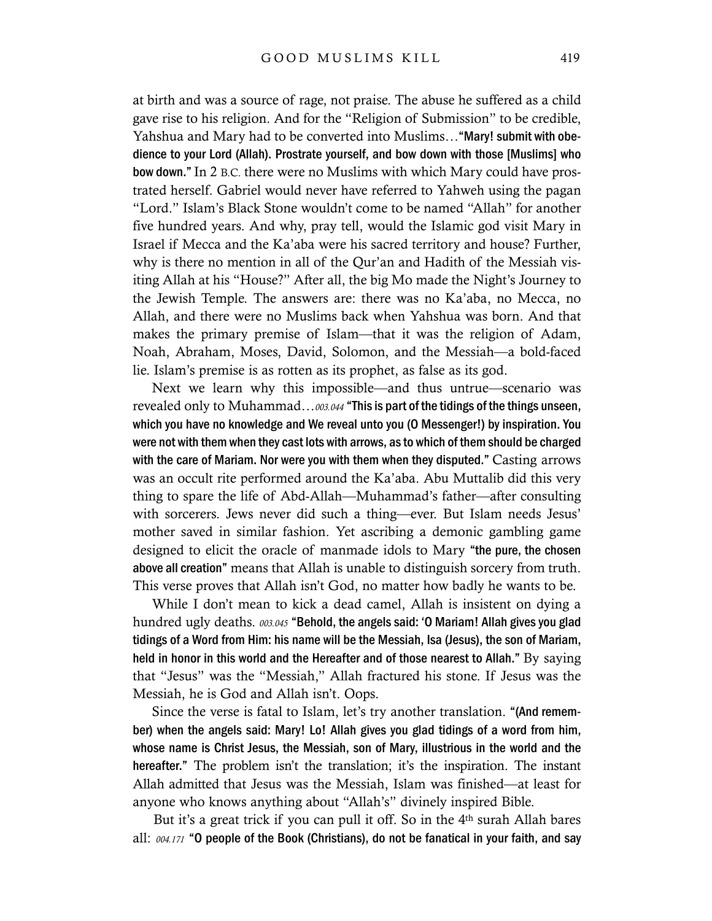at birth and was a source of rage, not praise. The abuse he suffered as a child gave rise to his religion. And for the "Religion of Submission" to be credible, Yahshua and Mary had to be converted into Muslims…"Mary! submit with obedience to your Lord (Allah). Prostrate yourself, and bow down with those [Muslims] who bow down." In 2 B.C. there were no Muslims with which Mary could have prostrated herself. Gabriel would never have referred to Yahweh using the pagan "Lord." Islam's Black Stone wouldn't come to be named "Allah" for another five hundred years. And why, pray tell, would the Islamic god visit Mary in Israel if Mecca and the Ka'aba were his sacred territory and house? Further, why is there no mention in all of the Qur'an and Hadith of the Messiah visiting Allah at his "House?" After all, the big Mo made the Night's Journey to the Jewish Temple. The answers are: there was no Ka'aba, no Mecca, no Allah, and there were no Muslims back when Yahshua was born. And that makes the primary premise of Islam—that it was the religion of Adam, Noah, Abraham, Moses, David, Solomon, and the Messiah—a bold-faced lie. Islam's premise is as rotten as its prophet, as false as its god.

Next we learn why this impossible—and thus untrue—scenario was revealed only to Muhammad…*003.044* "This is part of the tidings of the things unseen, which you have no knowledge and We reveal unto you (O Messenger!) by inspiration. You were not with them when they cast lots with arrows, as to which of them should be charged with the care of Mariam. Nor were you with them when they disputed." Casting arrows was an occult rite performed around the Ka'aba. Abu Muttalib did this very thing to spare the life of Abd-Allah—Muhammad's father—after consulting with sorcerers. Jews never did such a thing—ever. But Islam needs Jesus' mother saved in similar fashion. Yet ascribing a demonic gambling game designed to elicit the oracle of manmade idols to Mary "the pure, the chosen above all creation" means that Allah is unable to distinguish sorcery from truth. This verse proves that Allah isn't God, no matter how badly he wants to be.

While I don't mean to kick a dead camel, Allah is insistent on dying a hundred ugly deaths. *003.045* "Behold, the angels said: 'O Mariam! Allah gives you glad tidings of a Word from Him: his name will be the Messiah, Isa (Jesus), the son of Mariam, held in honor in this world and the Hereafter and of those nearest to Allah." By saying that "Jesus" was the "Messiah," Allah fractured his stone. If Jesus was the Messiah, he is God and Allah isn't. Oops.

Since the verse is fatal to Islam, let's try another translation. "(And remember) when the angels said: Mary! Lo! Allah gives you glad tidings of a word from him, whose name is Christ Jesus, the Messiah, son of Mary, illustrious in the world and the hereafter." The problem isn't the translation; it's the inspiration. The instant Allah admitted that Jesus was the Messiah, Islam was finished—at least for anyone who knows anything about "Allah's" divinely inspired Bible.

But it's a great trick if you can pull it off. So in the 4th surah Allah bares all: *004.171* "O people of the Book (Christians), do not be fanatical in your faith, and say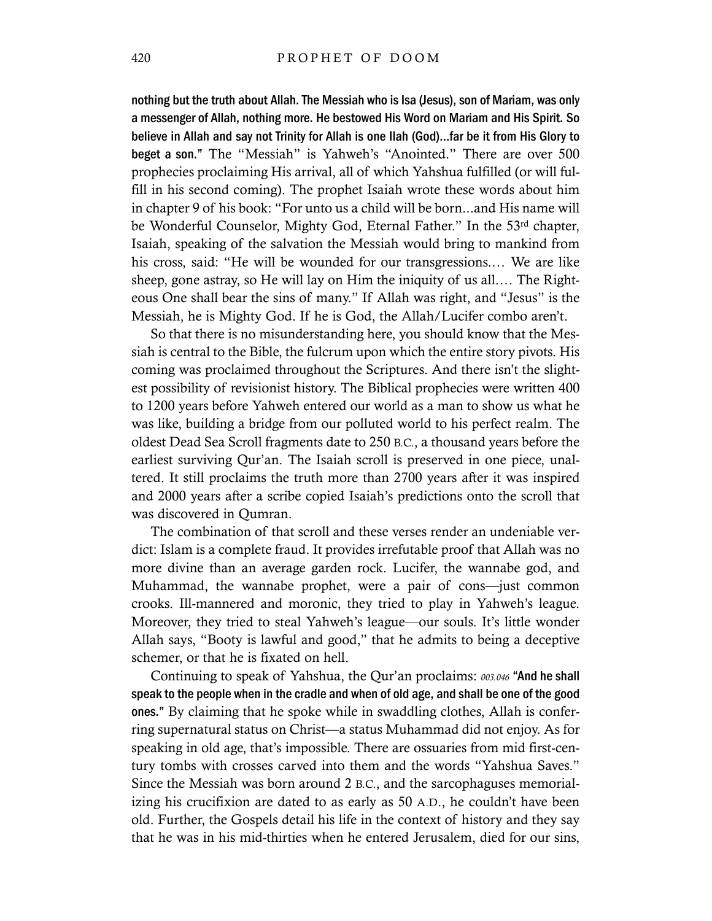nothing but the truth about Allah. The Messiah who is Isa (Jesus), son of Mariam, was only a messenger of Allah, nothing more. He bestowed His Word on Mariam and His Spirit. So believe in Allah and say not Trinity for Allah is one Ilah (God)…far be it from His Glory to beget a son." The "Messiah" is Yahweh's "Anointed." There are over 500 prophecies proclaiming His arrival, all of which Yahshua fulfilled (or will fulfill in his second coming). The prophet Isaiah wrote these words about him in chapter 9 of his book: "For unto us a child will be born...and His name will be Wonderful Counselor, Mighty God, Eternal Father." In the 53rd chapter, Isaiah, speaking of the salvation the Messiah would bring to mankind from his cross, said: "He will be wounded for our transgressions.… We are like sheep, gone astray, so He will lay on Him the iniquity of us all.… The Righteous One shall bear the sins of many." If Allah was right, and "Jesus" is the Messiah, he is Mighty God. If he is God, the Allah/Lucifer combo aren't.

So that there is no misunderstanding here, you should know that the Messiah is central to the Bible, the fulcrum upon which the entire story pivots. His coming was proclaimed throughout the Scriptures. And there isn't the slightest possibility of revisionist history. The Biblical prophecies were written 400 to 1200 years before Yahweh entered our world as a man to show us what he was like, building a bridge from our polluted world to his perfect realm. The oldest Dead Sea Scroll fragments date to 250 B.C., a thousand years before the earliest surviving Qur'an. The Isaiah scroll is preserved in one piece, unaltered. It still proclaims the truth more than 2700 years after it was inspired and 2000 years after a scribe copied Isaiah's predictions onto the scroll that was discovered in Qumran.

The combination of that scroll and these verses render an undeniable verdict: Islam is a complete fraud. It provides irrefutable proof that Allah was no more divine than an average garden rock. Lucifer, the wannabe god, and Muhammad, the wannabe prophet, were a pair of cons—just common crooks. Ill-mannered and moronic, they tried to play in Yahweh's league. Moreover, they tried to steal Yahweh's league—our souls. It's little wonder Allah says, "Booty is lawful and good," that he admits to being a deceptive schemer, or that he is fixated on hell.

Continuing to speak of Yahshua, the Qur'an proclaims: *003.046* "And he shall speak to the people when in the cradle and when of old age, and shall be one of the good ones." By claiming that he spoke while in swaddling clothes, Allah is conferring supernatural status on Christ—a status Muhammad did not enjoy. As for speaking in old age, that's impossible. There are ossuaries from mid first-century tombs with crosses carved into them and the words "Yahshua Saves." Since the Messiah was born around 2 B.C., and the sarcophaguses memorializing his crucifixion are dated to as early as 50 A.D., he couldn't have been old. Further, the Gospels detail his life in the context of history and they say that he was in his mid-thirties when he entered Jerusalem, died for our sins,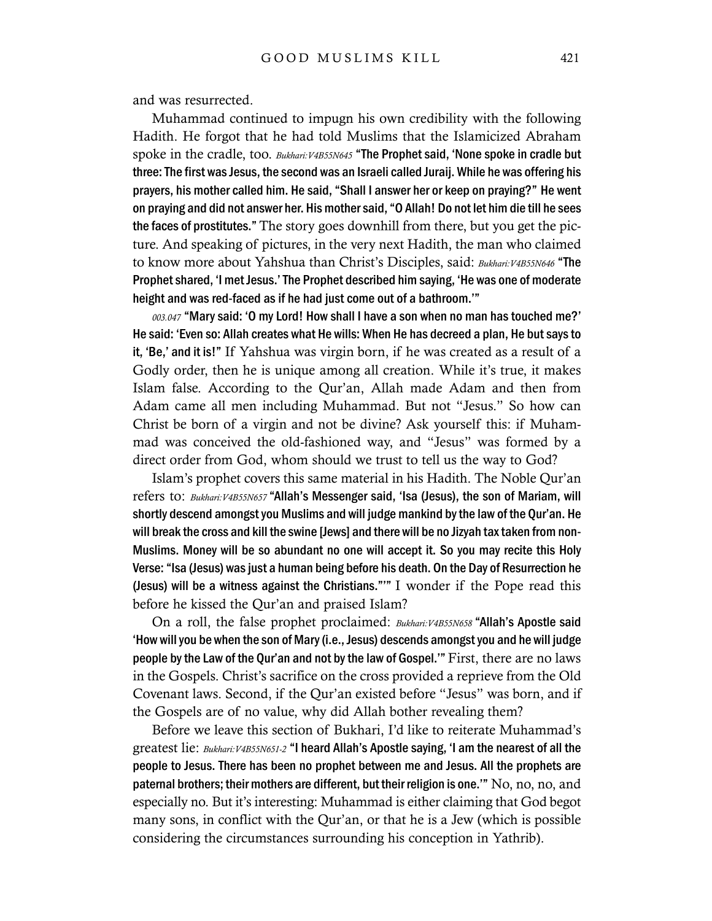and was resurrected.

Muhammad continued to impugn his own credibility with the following Hadith. He forgot that he had told Muslims that the Islamicized Abraham spoke in the cradle, too. *Bukhari:V4B55N645* "The Prophet said, 'None spoke in cradle but three: The first was Jesus, the second was an Israeli called Juraij. While he was offering his prayers, his mother called him. He said, "Shall I answer her or keep on praying?" He went on praying and did not answer her. His mother said, "O Allah! Do not let him die till he sees the faces of prostitutes." The story goes downhill from there, but you get the picture. And speaking of pictures, in the very next Hadith, the man who claimed to know more about Yahshua than Christ's Disciples, said: *Bukhari:V4B55N646* "The Prophet shared, 'I met Jesus.' The Prophet described him saying, 'He was one of moderate height and was red-faced as if he had just come out of a bathroom.'"

*003.047* "Mary said: 'O my Lord! How shall I have a son when no man has touched me?' He said: 'Even so: Allah creates what He wills: When He has decreed a plan, He but says to it, 'Be,' and it is!" If Yahshua was virgin born, if he was created as a result of a Godly order, then he is unique among all creation. While it's true, it makes Islam false. According to the Qur'an, Allah made Adam and then from Adam came all men including Muhammad. But not "Jesus." So how can Christ be born of a virgin and not be divine? Ask yourself this: if Muhammad was conceived the old-fashioned way, and "Jesus" was formed by a direct order from God, whom should we trust to tell us the way to God?

Islam's prophet covers this same material in his Hadith. The Noble Qur'an refers to: *Bukhari:V4B55N657* "Allah's Messenger said, 'Isa (Jesus), the son of Mariam, will shortly descend amongst you Muslims and will judge mankind by the law of the Qur'an. He will break the cross and kill the swine [Jews] and there will be no Jizyah tax taken from non-Muslims. Money will be so abundant no one will accept it. So you may recite this Holy Verse: "Isa (Jesus) was just a human being before his death. On the Day of Resurrection he (Jesus) will be a witness against the Christians."'" I wonder if the Pope read this before he kissed the Qur'an and praised Islam?

On a roll, the false prophet proclaimed: *Bukhari:V4B55N658* "Allah's Apostle said 'How will you be when the son of Mary (i.e., Jesus) descends amongst you and he will judge people by the Law of the Qur'an and not by the law of Gospel.'" First, there are no laws in the Gospels. Christ's sacrifice on the cross provided a reprieve from the Old Covenant laws. Second, if the Qur'an existed before "Jesus" was born, and if the Gospels are of no value, why did Allah bother revealing them?

Before we leave this section of Bukhari, I'd like to reiterate Muhammad's greatest lie: *Bukhari:V4B55N651-2* "I heard Allah's Apostle saying, 'I am the nearest of all the people to Jesus. There has been no prophet between me and Jesus. All the prophets are paternal brothers; their mothers are different, but their religion is one.'" No, no, no, and especially no. But it's interesting: Muhammad is either claiming that God begot many sons, in conflict with the Qur'an, or that he is a Jew (which is possible considering the circumstances surrounding his conception in Yathrib).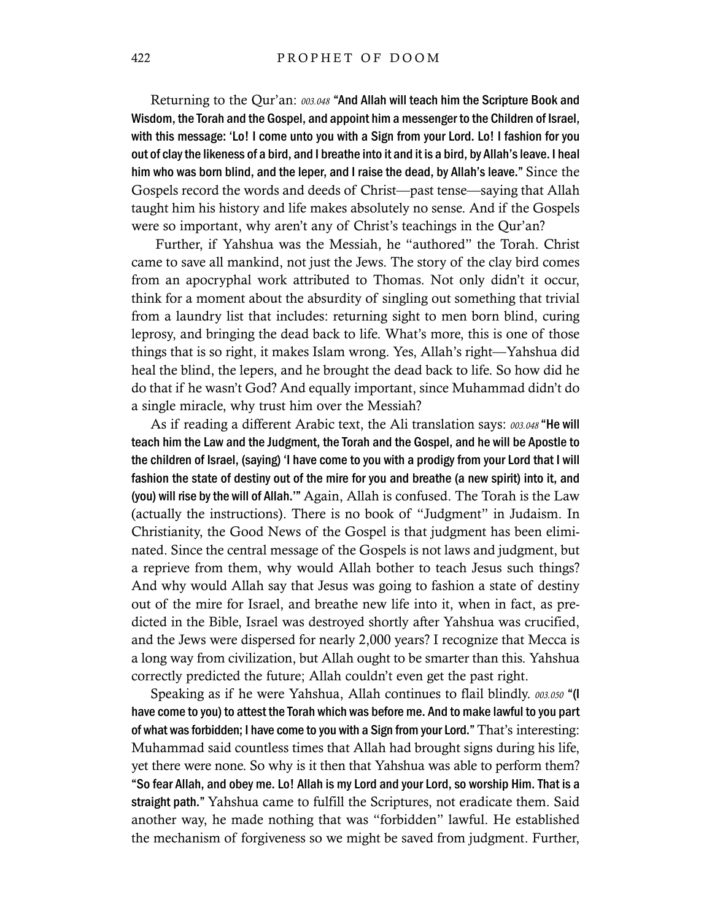Returning to the Qur'an: *003.048* "And Allah will teach him the Scripture Book and Wisdom, the Torah and the Gospel, and appoint him a messenger to the Children of Israel, with this message: 'Lo! I come unto you with a Sign from your Lord. Lo! I fashion for you out of clay the likeness of a bird, and I breathe into it and it is a bird, by Allah's leave. I heal him who was born blind, and the leper, and I raise the dead, by Allah's leave." Since the Gospels record the words and deeds of Christ—past tense—saying that Allah taught him his history and life makes absolutely no sense. And if the Gospels were so important, why aren't any of Christ's teachings in the Qur'an?

Further, if Yahshua was the Messiah, he "authored" the Torah. Christ came to save all mankind, not just the Jews. The story of the clay bird comes from an apocryphal work attributed to Thomas. Not only didn't it occur, think for a moment about the absurdity of singling out something that trivial from a laundry list that includes: returning sight to men born blind, curing leprosy, and bringing the dead back to life. What's more, this is one of those things that is so right, it makes Islam wrong. Yes, Allah's right—Yahshua did heal the blind, the lepers, and he brought the dead back to life. So how did he do that if he wasn't God? And equally important, since Muhammad didn't do a single miracle, why trust him over the Messiah?

As if reading a different Arabic text, the Ali translation says: *003.048* "He will teach him the Law and the Judgment, the Torah and the Gospel, and he will be Apostle to the children of Israel, (saying) 'I have come to you with a prodigy from your Lord that I will fashion the state of destiny out of the mire for you and breathe (a new spirit) into it, and (you) will rise by the will of Allah.'" Again, Allah is confused. The Torah is the Law (actually the instructions). There is no book of "Judgment" in Judaism. In Christianity, the Good News of the Gospel is that judgment has been eliminated. Since the central message of the Gospels is not laws and judgment, but a reprieve from them, why would Allah bother to teach Jesus such things? And why would Allah say that Jesus was going to fashion a state of destiny out of the mire for Israel, and breathe new life into it, when in fact, as predicted in the Bible, Israel was destroyed shortly after Yahshua was crucified, and the Jews were dispersed for nearly 2,000 years? I recognize that Mecca is a long way from civilization, but Allah ought to be smarter than this. Yahshua correctly predicted the future; Allah couldn't even get the past right.

Speaking as if he were Yahshua, Allah continues to flail blindly. *003.050* "(I have come to you) to attest the Torah which was before me. And to make lawful to you part of what was forbidden; I have come to you with a Sign from your Lord." That's interesting: Muhammad said countless times that Allah had brought signs during his life, yet there were none. So why is it then that Yahshua was able to perform them? "So fear Allah, and obey me. Lo! Allah is my Lord and your Lord, so worship Him. That is a straight path." Yahshua came to fulfill the Scriptures, not eradicate them. Said another way, he made nothing that was "forbidden" lawful. He established the mechanism of forgiveness so we might be saved from judgment. Further,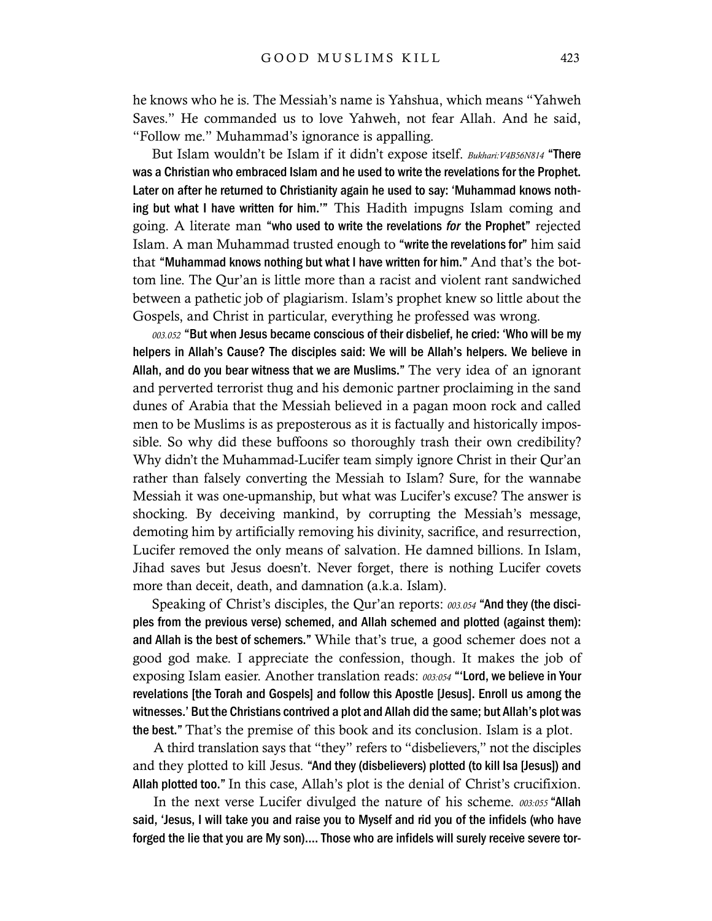he knows who he is. The Messiah's name is Yahshua, which means "Yahweh Saves." He commanded us to love Yahweh, not fear Allah. And he said, "Follow me." Muhammad's ignorance is appalling.

But Islam wouldn't be Islam if it didn't expose itself. *Bukhari:V4B56N814* "There was a Christian who embraced Islam and he used to write the revelations for the Prophet. Later on after he returned to Christianity again he used to say: 'Muhammad knows nothing but what I have written for him.'" This Hadith impugns Islam coming and going. A literate man "who used to write the revelations for the Prophet" rejected Islam. A man Muhammad trusted enough to "write the revelations for" him said that "Muhammad knows nothing but what I have written for him." And that's the bottom line. The Qur'an is little more than a racist and violent rant sandwiched between a pathetic job of plagiarism. Islam's prophet knew so little about the Gospels, and Christ in particular, everything he professed was wrong.

*003.052* "But when Jesus became conscious of their disbelief, he cried: 'Who will be my helpers in Allah's Cause? The disciples said: We will be Allah's helpers. We believe in Allah, and do you bear witness that we are Muslims." The very idea of an ignorant and perverted terrorist thug and his demonic partner proclaiming in the sand dunes of Arabia that the Messiah believed in a pagan moon rock and called men to be Muslims is as preposterous as it is factually and historically impossible. So why did these buffoons so thoroughly trash their own credibility? Why didn't the Muhammad-Lucifer team simply ignore Christ in their Qur'an rather than falsely converting the Messiah to Islam? Sure, for the wannabe Messiah it was one-upmanship, but what was Lucifer's excuse? The answer is shocking. By deceiving mankind, by corrupting the Messiah's message, demoting him by artificially removing his divinity, sacrifice, and resurrection, Lucifer removed the only means of salvation. He damned billions. In Islam, Jihad saves but Jesus doesn't. Never forget, there is nothing Lucifer covets more than deceit, death, and damnation (a.k.a. Islam).

Speaking of Christ's disciples, the Qur'an reports: *003.054* "And they (the disciples from the previous verse) schemed, and Allah schemed and plotted (against them): and Allah is the best of schemers." While that's true, a good schemer does not a good god make. I appreciate the confession, though. It makes the job of exposing Islam easier. Another translation reads: *003:054* "'Lord, we believe in Your revelations [the Torah and Gospels] and follow this Apostle [Jesus]. Enroll us among the witnesses.' But the Christians contrived a plot and Allah did the same; but Allah's plot was the best." That's the premise of this book and its conclusion. Islam is a plot.

A third translation says that "they" refers to "disbelievers," not the disciples and they plotted to kill Jesus. "And they (disbelievers) plotted (to kill Isa [Jesus]) and Allah plotted too." In this case, Allah's plot is the denial of Christ's crucifixion.

In the next verse Lucifer divulged the nature of his scheme. *003:055* "Allah said, 'Jesus, I will take you and raise you to Myself and rid you of the infidels (who have forged the lie that you are My son).… Those who are infidels will surely receive severe tor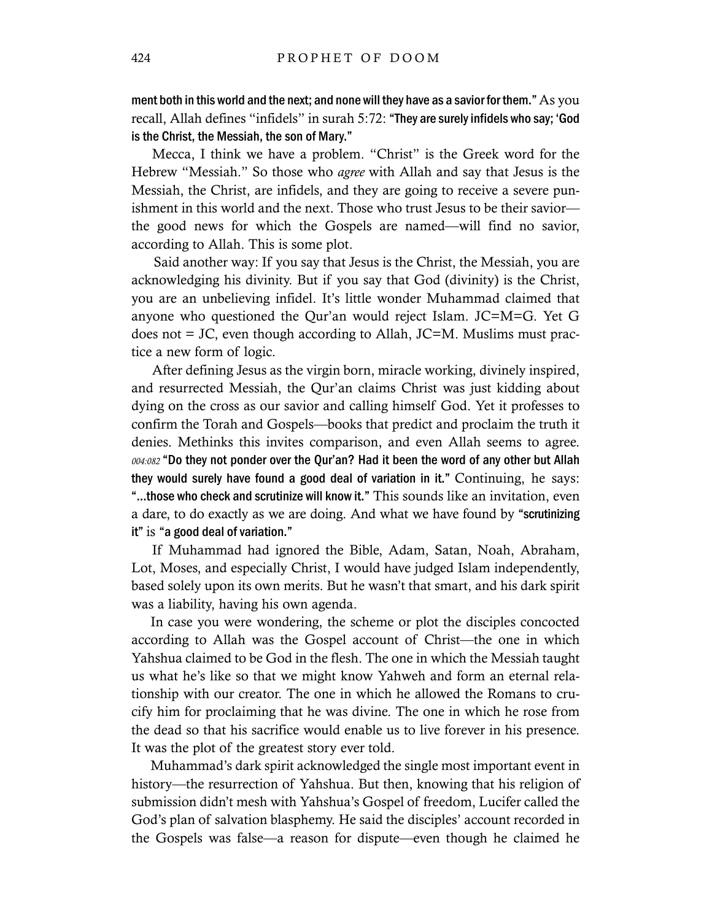ment both in this world and the next; and none will they have as a savior for them." As you recall, Allah defines "infidels" in surah 5:72: "They are surely infidels who say; 'God is the Christ, the Messiah, the son of Mary."

Mecca, I think we have a problem. "Christ" is the Greek word for the Hebrew "Messiah." So those who *agree* with Allah and say that Jesus is the Messiah, the Christ, are infidels, and they are going to receive a severe punishment in this world and the next. Those who trust Jesus to be their savior the good news for which the Gospels are named—will find no savior, according to Allah. This is some plot.

Said another way: If you say that Jesus is the Christ, the Messiah, you are acknowledging his divinity. But if you say that God (divinity) is the Christ, you are an unbelieving infidel. It's little wonder Muhammad claimed that anyone who questioned the Qur'an would reject Islam. JC=M=G. Yet G does not  $= JC$ , even though according to Allah,  $JC=M$ . Muslims must practice a new form of logic.

After defining Jesus as the virgin born, miracle working, divinely inspired, and resurrected Messiah, the Qur'an claims Christ was just kidding about dying on the cross as our savior and calling himself God. Yet it professes to confirm the Torah and Gospels—books that predict and proclaim the truth it denies. Methinks this invites comparison, and even Allah seems to agree. *004:082* "Do they not ponder over the Qur'an? Had it been the word of any other but Allah they would surely have found a good deal of variation in it." Continuing, he says: "…those who check and scrutinize will know it." This sounds like an invitation, even a dare, to do exactly as we are doing. And what we have found by "scrutinizing it" is "a good deal of variation."

If Muhammad had ignored the Bible, Adam, Satan, Noah, Abraham, Lot, Moses, and especially Christ, I would have judged Islam independently, based solely upon its own merits. But he wasn't that smart, and his dark spirit was a liability, having his own agenda.

In case you were wondering, the scheme or plot the disciples concocted according to Allah was the Gospel account of Christ—the one in which Yahshua claimed to be God in the flesh. The one in which the Messiah taught us what he's like so that we might know Yahweh and form an eternal relationship with our creator. The one in which he allowed the Romans to crucify him for proclaiming that he was divine. The one in which he rose from the dead so that his sacrifice would enable us to live forever in his presence. It was the plot of the greatest story ever told.

Muhammad's dark spirit acknowledged the single most important event in history—the resurrection of Yahshua. But then, knowing that his religion of submission didn't mesh with Yahshua's Gospel of freedom, Lucifer called the God's plan of salvation blasphemy. He said the disciples' account recorded in the Gospels was false—a reason for dispute—even though he claimed he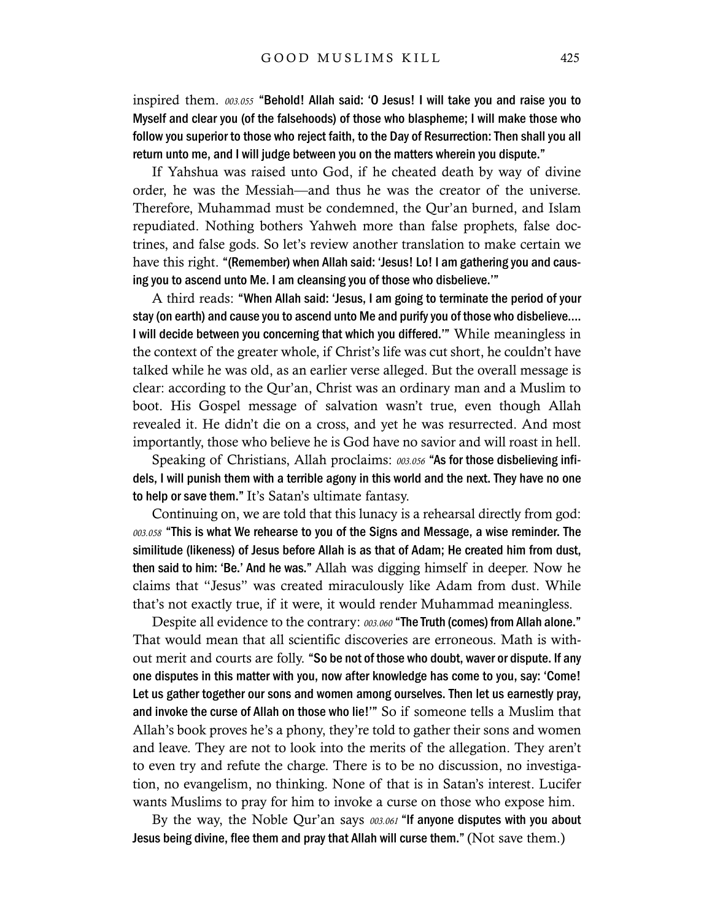inspired them. *003.055* "Behold! Allah said: 'O Jesus! I will take you and raise you to Myself and clear you (of the falsehoods) of those who blaspheme; I will make those who follow you superior to those who reject faith, to the Day of Resurrection: Then shall you all return unto me, and I will judge between you on the matters wherein you dispute."

If Yahshua was raised unto God, if he cheated death by way of divine order, he was the Messiah—and thus he was the creator of the universe. Therefore, Muhammad must be condemned, the Qur'an burned, and Islam repudiated. Nothing bothers Yahweh more than false prophets, false doctrines, and false gods. So let's review another translation to make certain we have this right. "(Remember) when Allah said: 'Jesus! Lo! I am gathering you and causing you to ascend unto Me. I am cleansing you of those who disbelieve.'"

A third reads: "When Allah said: 'Jesus, I am going to terminate the period of your stay (on earth) and cause you to ascend unto Me and purify you of those who disbelieve.... I will decide between you concerning that which you differed.'" While meaningless in the context of the greater whole, if Christ's life was cut short, he couldn't have talked while he was old, as an earlier verse alleged. But the overall message is clear: according to the Qur'an, Christ was an ordinary man and a Muslim to boot. His Gospel message of salvation wasn't true, even though Allah revealed it. He didn't die on a cross, and yet he was resurrected. And most importantly, those who believe he is God have no savior and will roast in hell.

Speaking of Christians, Allah proclaims: 003.056 "As for those disbelieving infidels, I will punish them with a terrible agony in this world and the next. They have no one to help or save them." It's Satan's ultimate fantasy.

Continuing on, we are told that this lunacy is a rehearsal directly from god: *003.058* "This is what We rehearse to you of the Signs and Message, a wise reminder. The similitude (likeness) of Jesus before Allah is as that of Adam; He created him from dust, then said to him: 'Be.' And he was." Allah was digging himself in deeper. Now he claims that "Jesus" was created miraculously like Adam from dust. While that's not exactly true, if it were, it would render Muhammad meaningless.

Despite all evidence to the contrary: *003.060* "The Truth (comes) from Allah alone." That would mean that all scientific discoveries are erroneous. Math is without merit and courts are folly. "So be not of those who doubt, waver or dispute. If any one disputes in this matter with you, now after knowledge has come to you, say: 'Come! Let us gather together our sons and women among ourselves. Then let us earnestly pray, and invoke the curse of Allah on those who lie!'" So if someone tells a Muslim that Allah's book proves he's a phony, they're told to gather their sons and women and leave. They are not to look into the merits of the allegation. They aren't to even try and refute the charge. There is to be no discussion, no investigation, no evangelism, no thinking. None of that is in Satan's interest. Lucifer wants Muslims to pray for him to invoke a curse on those who expose him.

By the way, the Noble Qur'an says *003.061* "If anyone disputes with you about Jesus being divine, flee them and pray that Allah will curse them." (Not save them.)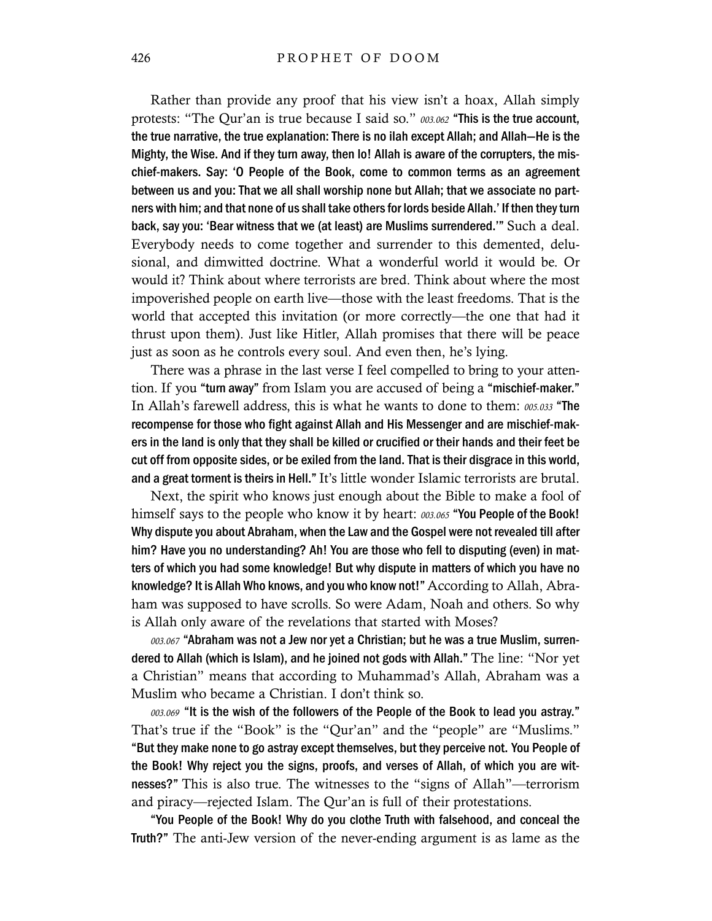Rather than provide any proof that his view isn't a hoax, Allah simply protests: "The Qur'an is true because I said so." *003.062* "This is the true account, the true narrative, the true explanation: There is no ilah except Allah; and Allah—He is the Mighty, the Wise. And if they turn away, then lo! Allah is aware of the corrupters, the mischief-makers. Say: 'O People of the Book, come to common terms as an agreement between us and you: That we all shall worship none but Allah; that we associate no partners with him; and that none of us shall take others for lords beside Allah.' If then they turn back, say you: 'Bear witness that we (at least) are Muslims surrendered.'" Such a deal. Everybody needs to come together and surrender to this demented, delusional, and dimwitted doctrine. What a wonderful world it would be. Or would it? Think about where terrorists are bred. Think about where the most impoverished people on earth live—those with the least freedoms. That is the world that accepted this invitation (or more correctly—the one that had it thrust upon them). Just like Hitler, Allah promises that there will be peace just as soon as he controls every soul. And even then, he's lying.

There was a phrase in the last verse I feel compelled to bring to your attention. If you "turn away" from Islam you are accused of being a "mischief-maker." In Allah's farewell address, this is what he wants to done to them: *005.033* "The recompense for those who fight against Allah and His Messenger and are mischief-makers in the land is only that they shall be killed or crucified or their hands and their feet be cut off from opposite sides, or be exiled from the land. That is their disgrace in this world, and a great torment is theirs in Hell." It's little wonder Islamic terrorists are brutal.

Next, the spirit who knows just enough about the Bible to make a fool of himself says to the people who know it by heart: *003.065* "You People of the Book! Why dispute you about Abraham, when the Law and the Gospel were not revealed till after him? Have you no understanding? Ah! You are those who fell to disputing (even) in matters of which you had some knowledge! But why dispute in matters of which you have no knowledge? It is Allah Who knows, and you who know not!" According to Allah, Abraham was supposed to have scrolls. So were Adam, Noah and others. So why is Allah only aware of the revelations that started with Moses?

*003.067* "Abraham was not a Jew nor yet a Christian; but he was a true Muslim, surrendered to Allah (which is Islam), and he joined not gods with Allah." The line: "Nor yet a Christian" means that according to Muhammad's Allah, Abraham was a Muslim who became a Christian. I don't think so.

*003.069* "It is the wish of the followers of the People of the Book to lead you astray." That's true if the "Book" is the "Qur'an" and the "people" are "Muslims." "But they make none to go astray except themselves, but they perceive not. You People of the Book! Why reject you the signs, proofs, and verses of Allah, of which you are witnesses?" This is also true. The witnesses to the "signs of Allah"—terrorism and piracy—rejected Islam. The Qur'an is full of their protestations.

"You People of the Book! Why do you clothe Truth with falsehood, and conceal the Truth?" The anti-Jew version of the never-ending argument is as lame as the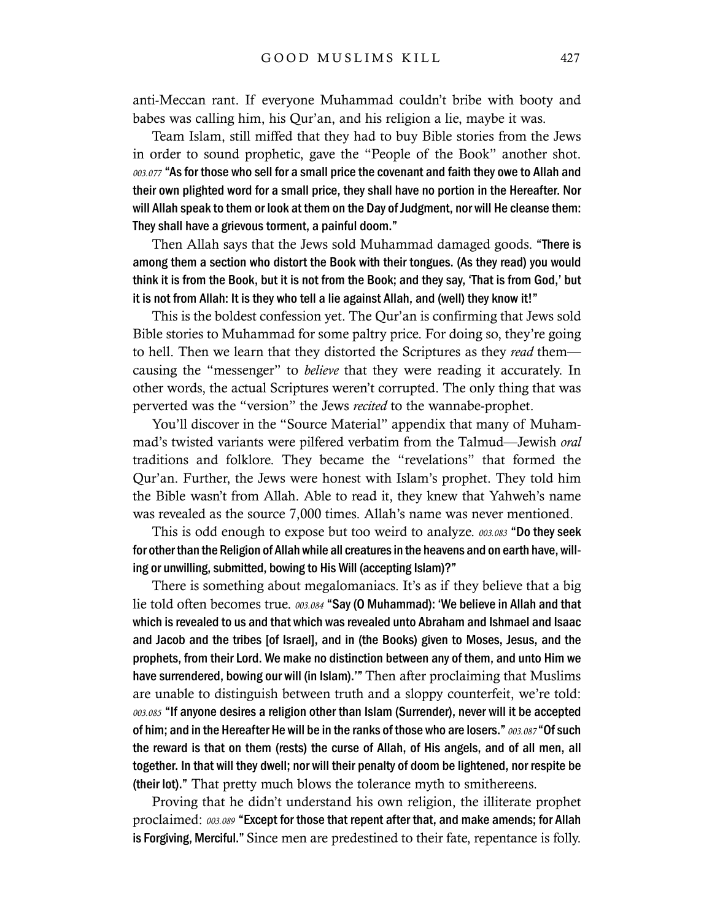anti-Meccan rant. If everyone Muhammad couldn't bribe with booty and babes was calling him, his Qur'an, and his religion a lie, maybe it was.

Team Islam, still miffed that they had to buy Bible stories from the Jews in order to sound prophetic, gave the "People of the Book" another shot. *003.077* "As for those who sell for a small price the covenant and faith they owe to Allah and their own plighted word for a small price, they shall have no portion in the Hereafter. Nor will Allah speak to them or look at them on the Day of Judgment, nor will He cleanse them: They shall have a grievous torment, a painful doom."

Then Allah says that the Jews sold Muhammad damaged goods. "There is among them a section who distort the Book with their tongues. (As they read) you would think it is from the Book, but it is not from the Book; and they say, 'That is from God,' but it is not from Allah: It is they who tell a lie against Allah, and (well) they know it!"

This is the boldest confession yet. The Qur'an is confirming that Jews sold Bible stories to Muhammad for some paltry price. For doing so, they're going to hell. Then we learn that they distorted the Scriptures as they *read* them causing the "messenger" to *believe* that they were reading it accurately. In other words, the actual Scriptures weren't corrupted. The only thing that was perverted was the "version" the Jews *recited* to the wannabe-prophet.

You'll discover in the "Source Material" appendix that many of Muhammad's twisted variants were pilfered verbatim from the Talmud—Jewish *oral* traditions and folklore. They became the "revelations" that formed the Qur'an. Further, the Jews were honest with Islam's prophet. They told him the Bible wasn't from Allah. Able to read it, they knew that Yahweh's name was revealed as the source 7,000 times. Allah's name was never mentioned.

This is odd enough to expose but too weird to analyze. *003.083* "Do they seek for other than the Religion of Allah while all creatures in the heavens and on earth have, willing or unwilling, submitted, bowing to His Will (accepting Islam)?"

There is something about megalomaniacs. It's as if they believe that a big lie told often becomes true. *003.084* "Say (O Muhammad): 'We believe in Allah and that which is revealed to us and that which was revealed unto Abraham and Ishmael and Isaac and Jacob and the tribes [of Israel], and in (the Books) given to Moses, Jesus, and the prophets, from their Lord. We make no distinction between any of them, and unto Him we have surrendered, bowing our will (in Islam).'" Then after proclaiming that Muslims are unable to distinguish between truth and a sloppy counterfeit, we're told: *003.085* "If anyone desires a religion other than Islam (Surrender), never will it be accepted of him; and in the Hereafter He will be in the ranks of those who are losers." *003.087* "Of such the reward is that on them (rests) the curse of Allah, of His angels, and of all men, all together. In that will they dwell; nor will their penalty of doom be lightened, nor respite be (their lot)." That pretty much blows the tolerance myth to smithereens.

Proving that he didn't understand his own religion, the illiterate prophet proclaimed: *003.089* "Except for those that repent after that, and make amends; for Allah is Forgiving, Merciful." Since men are predestined to their fate, repentance is folly.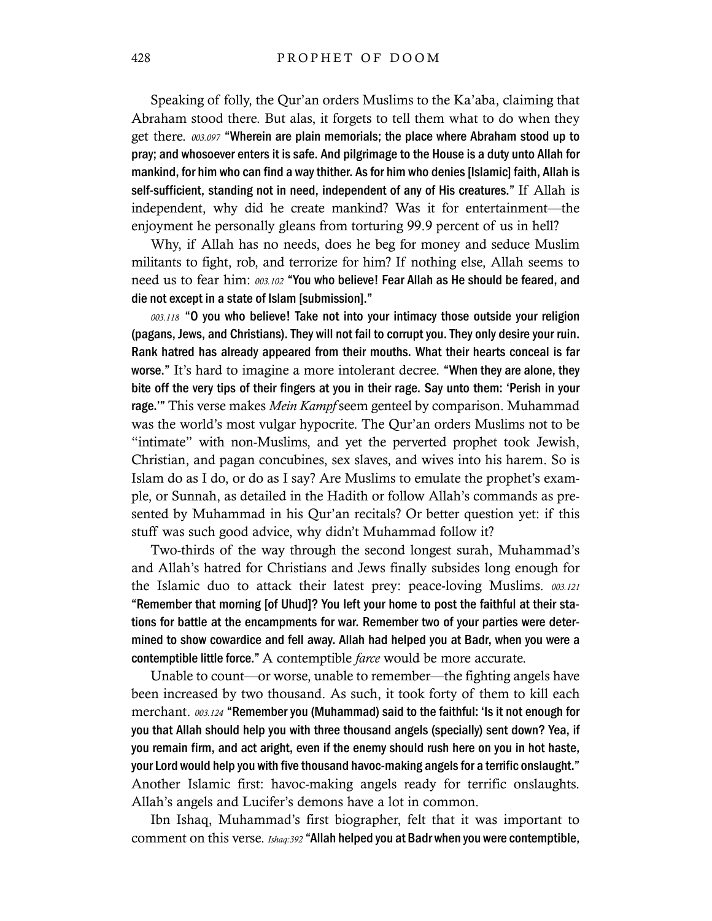Speaking of folly, the Qur'an orders Muslims to the Ka'aba, claiming that Abraham stood there. But alas, it forgets to tell them what to do when they get there. *003.097* "Wherein are plain memorials; the place where Abraham stood up to pray; and whosoever enters it is safe. And pilgrimage to the House is a duty unto Allah for mankind, for him who can find a way thither. As for him who denies [Islamic] faith, Allah is self-sufficient, standing not in need, independent of any of His creatures." If Allah is independent, why did he create mankind? Was it for entertainment—the enjoyment he personally gleans from torturing 99.9 percent of us in hell?

Why, if Allah has no needs, does he beg for money and seduce Muslim militants to fight, rob, and terrorize for him? If nothing else, Allah seems to need us to fear him: *003.102* "You who believe! Fear Allah as He should be feared, and die not except in a state of Islam [submission]."

*003.118* "O you who believe! Take not into your intimacy those outside your religion (pagans, Jews, and Christians). They will not fail to corrupt you. They only desire your ruin. Rank hatred has already appeared from their mouths. What their hearts conceal is far worse." It's hard to imagine a more intolerant decree. "When they are alone, they bite off the very tips of their fingers at you in their rage. Say unto them: 'Perish in your rage.'" This verse makes *Mein Kampf* seem genteel by comparison. Muhammad was the world's most vulgar hypocrite. The Qur'an orders Muslims not to be "intimate" with non-Muslims, and yet the perverted prophet took Jewish, Christian, and pagan concubines, sex slaves, and wives into his harem. So is Islam do as I do, or do as I say? Are Muslims to emulate the prophet's example, or Sunnah, as detailed in the Hadith or follow Allah's commands as presented by Muhammad in his Qur'an recitals? Or better question yet: if this stuff was such good advice, why didn't Muhammad follow it?

Two-thirds of the way through the second longest surah, Muhammad's and Allah's hatred for Christians and Jews finally subsides long enough for the Islamic duo to attack their latest prey: peace-loving Muslims. *003.121* "Remember that morning [of Uhud]? You left your home to post the faithful at their stations for battle at the encampments for war. Remember two of your parties were determined to show cowardice and fell away. Allah had helped you at Badr, when you were a contemptible little force." A contemptible *farce* would be more accurate.

Unable to count—or worse, unable to remember—the fighting angels have been increased by two thousand. As such, it took forty of them to kill each merchant. *003.124* "Remember you (Muhammad) said to the faithful: 'Is it not enough for you that Allah should help you with three thousand angels (specially) sent down? Yea, if you remain firm, and act aright, even if the enemy should rush here on you in hot haste, your Lord would help you with five thousand havoc-making angels for a terrific onslaught." Another Islamic first: havoc-making angels ready for terrific onslaughts. Allah's angels and Lucifer's demons have a lot in common.

Ibn Ishaq, Muhammad's first biographer, felt that it was important to comment on this verse. *Ishaq:392* "Allah helped you at Badr when you were contemptible,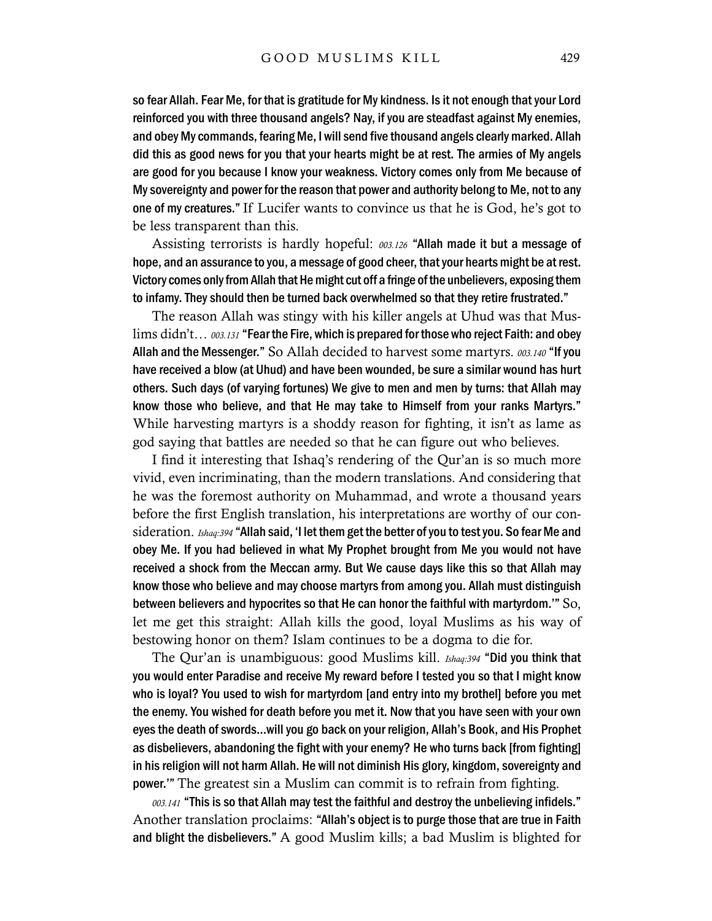so fear Allah. Fear Me, for that is gratitude for My kindness. Is it not enough that your Lord reinforced you with three thousand angels? Nay, if you are steadfast against My enemies, and obey My commands, fearing Me, I will send five thousand angels clearly marked. Allah did this as good news for you that your hearts might be at rest. The armies of My angels are good for you because I know your weakness. Victory comes only from Me because of My sovereignty and power for the reason that power and authority belong to Me, not to any one of my creatures." If Lucifer wants to convince us that he is God, he's got to be less transparent than this.

Assisting terrorists is hardly hopeful: *003.126* "Allah made it but a message of hope, and an assurance to you, a message of good cheer, that your hearts might be at rest. Victory comes only from Allah that He might cut off a fringe of the unbelievers, exposing them to infamy. They should then be turned back overwhelmed so that they retire frustrated."

The reason Allah was stingy with his killer angels at Uhud was that Muslims didn't… *003.131* "Fear the Fire, which is prepared for those who reject Faith: and obey Allah and the Messenger." So Allah decided to harvest some martyrs. *003.140* "If you have received a blow (at Uhud) and have been wounded, be sure a similar wound has hurt others. Such days (of varying fortunes) We give to men and men by turns: that Allah may know those who believe, and that He may take to Himself from your ranks Martyrs." While harvesting martyrs is a shoddy reason for fighting, it isn't as lame as god saying that battles are needed so that he can figure out who believes.

I find it interesting that Ishaq's rendering of the Qur'an is so much more vivid, even incriminating, than the modern translations. And considering that he was the foremost authority on Muhammad, and wrote a thousand years before the first English translation, his interpretations are worthy of our consideration. *Ishaq:394* "Allah said, 'I let them get the better of you to test you. So fear Me and obey Me. If you had believed in what My Prophet brought from Me you would not have received a shock from the Meccan army. But We cause days like this so that Allah may know those who believe and may choose martyrs from among you. Allah must distinguish between believers and hypocrites so that He can honor the faithful with martyrdom.'" So, let me get this straight: Allah kills the good, loyal Muslims as his way of bestowing honor on them? Islam continues to be a dogma to die for.

The Qur'an is unambiguous: good Muslims kill. *Ishaq:394* "Did you think that you would enter Paradise and receive My reward before I tested you so that I might know who is loyal? You used to wish for martyrdom [and entry into my brothel] before you met the enemy. You wished for death before you met it. Now that you have seen with your own eyes the death of swords…will you go back on your religion, Allah's Book, and His Prophet as disbelievers, abandoning the fight with your enemy? He who turns back [from fighting] in his religion will not harm Allah. He will not diminish His glory, kingdom, sovereignty and power.'" The greatest sin a Muslim can commit is to refrain from fighting.

*003.141* "This is so that Allah may test the faithful and destroy the unbelieving infidels." Another translation proclaims: "Allah's object is to purge those that are true in Faith and blight the disbelievers." A good Muslim kills; a bad Muslim is blighted for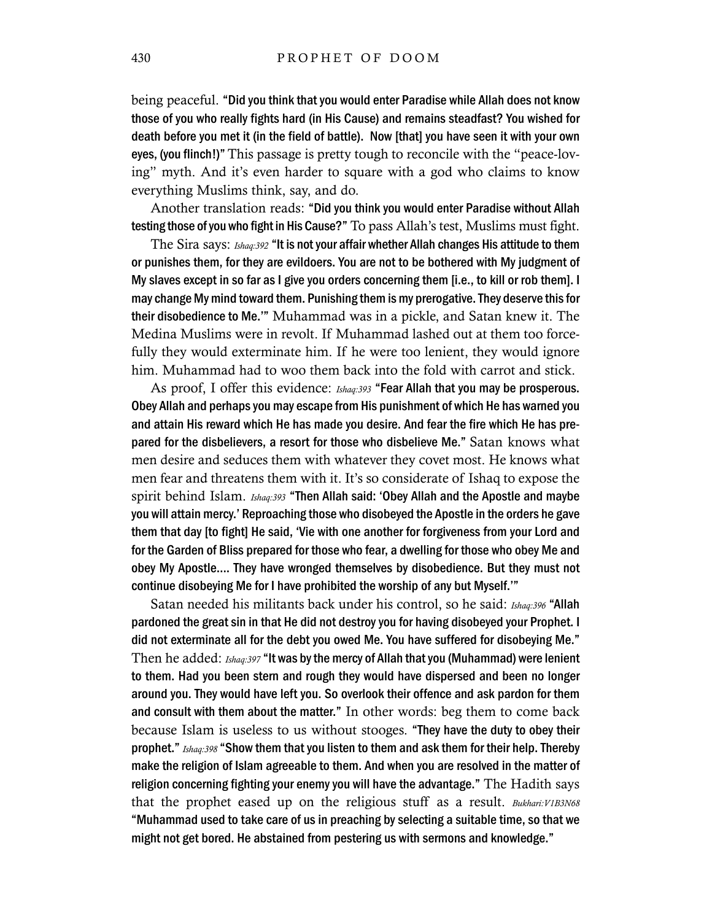being peaceful. "Did you think that you would enter Paradise while Allah does not know those of you who really fights hard (in His Cause) and remains steadfast? You wished for death before you met it (in the field of battle). Now [that] you have seen it with your own eyes, (you flinch!)" This passage is pretty tough to reconcile with the "peace-loving" myth. And it's even harder to square with a god who claims to know everything Muslims think, say, and do.

Another translation reads: "Did you think you would enter Paradise without Allah testing those of you who fight in His Cause?" To pass Allah's test, Muslims must fight.

The Sira says: *Ishaq:392* "It is not your affair whether Allah changes His attitude to them or punishes them, for they are evildoers. You are not to be bothered with My judgment of My slaves except in so far as I give you orders concerning them [i.e., to kill or rob them]. I may change My mind toward them. Punishing them is my prerogative. They deserve this for their disobedience to Me.'" Muhammad was in a pickle, and Satan knew it. The Medina Muslims were in revolt. If Muhammad lashed out at them too forcefully they would exterminate him. If he were too lenient, they would ignore him. Muhammad had to woo them back into the fold with carrot and stick.

As proof, I offer this evidence: *Ishaq:393* "Fear Allah that you may be prosperous. Obey Allah and perhaps you may escape from His punishment of which He has warned you and attain His reward which He has made you desire. And fear the fire which He has prepared for the disbelievers, a resort for those who disbelieve Me." Satan knows what men desire and seduces them with whatever they covet most. He knows what men fear and threatens them with it. It's so considerate of Ishaq to expose the spirit behind Islam. *Ishaq:393* "Then Allah said: 'Obey Allah and the Apostle and maybe you will attain mercy.' Reproaching those who disobeyed the Apostle in the orders he gave them that day [to fight] He said, 'Vie with one another for forgiveness from your Lord and for the Garden of Bliss prepared for those who fear, a dwelling for those who obey Me and obey My Apostle…. They have wronged themselves by disobedience. But they must not continue disobeying Me for I have prohibited the worship of any but Myself.'"

Satan needed his militants back under his control, so he said: *Ishaq:396* "Allah pardoned the great sin in that He did not destroy you for having disobeyed your Prophet. I did not exterminate all for the debt you owed Me. You have suffered for disobeying Me." Then he added: *Ishaq:397* "It was by the mercy of Allah that you (Muhammad) were lenient to them. Had you been stern and rough they would have dispersed and been no longer around you. They would have left you. So overlook their offence and ask pardon for them and consult with them about the matter." In other words: beg them to come back because Islam is useless to us without stooges. "They have the duty to obey their prophet." *Ishaq:398* "Show them that you listen to them and ask them for their help. Thereby make the religion of Islam agreeable to them. And when you are resolved in the matter of religion concerning fighting your enemy you will have the advantage." The Hadith says that the prophet eased up on the religious stuff as a result. *Bukhari:V1B3N68* "Muhammad used to take care of us in preaching by selecting a suitable time, so that we might not get bored. He abstained from pestering us with sermons and knowledge."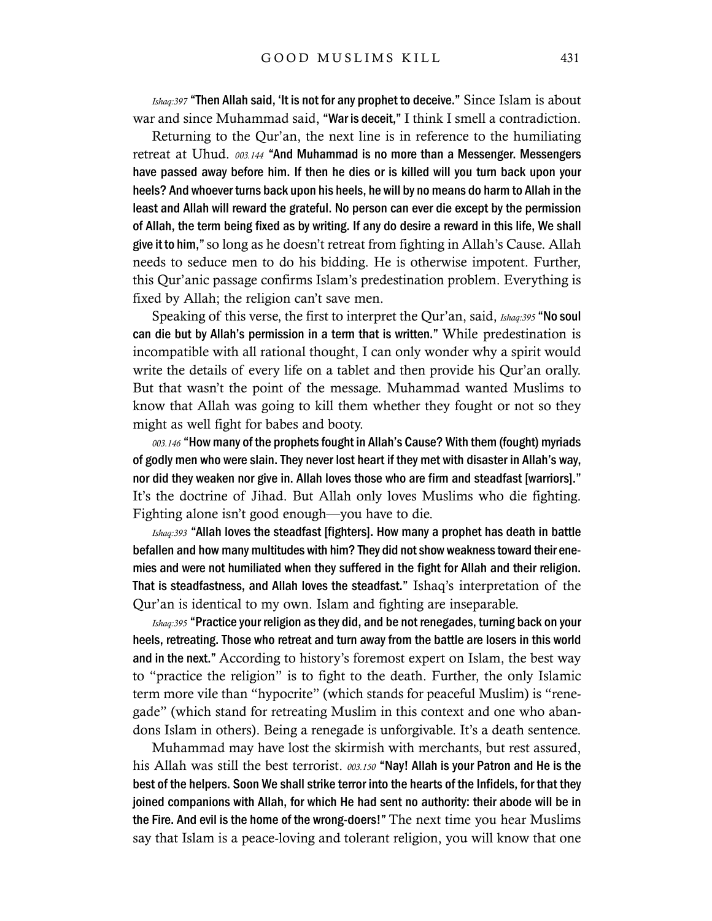*Ishaq:397* "Then Allah said, 'It is not for any prophet to deceive." Since Islam is about war and since Muhammad said, "War is deceit," I think I smell a contradiction.

Returning to the Qur'an, the next line is in reference to the humiliating retreat at Uhud. *003.144* "And Muhammad is no more than a Messenger. Messengers have passed away before him. If then he dies or is killed will you turn back upon your heels? And whoever turns back upon his heels, he will by no means do harm to Allah in the least and Allah will reward the grateful. No person can ever die except by the permission of Allah, the term being fixed as by writing. If any do desire a reward in this life, We shall give it to him," so long as he doesn't retreat from fighting in Allah's Cause. Allah needs to seduce men to do his bidding. He is otherwise impotent. Further, this Qur'anic passage confirms Islam's predestination problem. Everything is fixed by Allah; the religion can't save men.

Speaking of this verse, the first to interpret the Qur'an, said, *Ishaq:395* "No soul can die but by Allah's permission in a term that is written." While predestination is incompatible with all rational thought, I can only wonder why a spirit would write the details of every life on a tablet and then provide his Qur'an orally. But that wasn't the point of the message. Muhammad wanted Muslims to know that Allah was going to kill them whether they fought or not so they might as well fight for babes and booty.

*003.146* "How many of the prophets fought in Allah's Cause? With them (fought) myriads of godly men who were slain. They never lost heart if they met with disaster in Allah's way, nor did they weaken nor give in. Allah loves those who are firm and steadfast [warriors]." It's the doctrine of Jihad. But Allah only loves Muslims who die fighting. Fighting alone isn't good enough—you have to die.

*Ishaq:393* "Allah loves the steadfast [fighters]. How many a prophet has death in battle befallen and how many multitudes with him? They did not show weakness toward their enemies and were not humiliated when they suffered in the fight for Allah and their religion. That is steadfastness, and Allah loves the steadfast." Ishaq's interpretation of the Qur'an is identical to my own. Islam and fighting are inseparable.

*Ishaq:395* "Practice your religion as they did, and be not renegades, turning back on your heels, retreating. Those who retreat and turn away from the battle are losers in this world and in the next." According to history's foremost expert on Islam, the best way to "practice the religion" is to fight to the death. Further, the only Islamic term more vile than "hypocrite" (which stands for peaceful Muslim) is "renegade" (which stand for retreating Muslim in this context and one who abandons Islam in others). Being a renegade is unforgivable. It's a death sentence.

Muhammad may have lost the skirmish with merchants, but rest assured, his Allah was still the best terrorist. *003.150* "Nay! Allah is your Patron and He is the best of the helpers. Soon We shall strike terror into the hearts of the Infidels, for that they joined companions with Allah, for which He had sent no authority: their abode will be in the Fire. And evil is the home of the wrong-doers!" The next time you hear Muslims say that Islam is a peace-loving and tolerant religion, you will know that one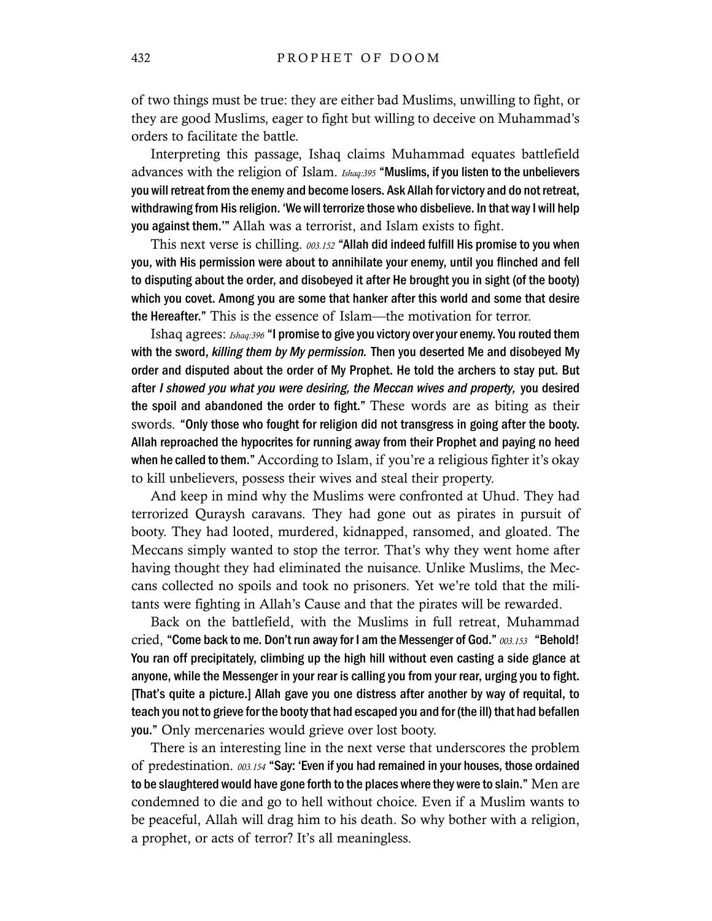of two things must be true: they are either bad Muslims, unwilling to fight, or they are good Muslims, eager to fight but willing to deceive on Muhammad's orders to facilitate the battle.

Interpreting this passage, Ishaq claims Muhammad equates battlefield advances with the religion of Islam. *Ishaq:395* "Muslims, if you listen to the unbelievers you will retreat from the enemy and become losers. Ask Allah for victory and do not retreat, withdrawing from His religion. 'We will terrorize those who disbelieve. In that way I will help you against them.'" Allah was a terrorist, and Islam exists to fight.

This next verse is chilling. *003.152* "Allah did indeed fulfill His promise to you when you, with His permission were about to annihilate your enemy, until you flinched and fell to disputing about the order, and disobeyed it after He brought you in sight (of the booty) which you covet. Among you are some that hanker after this world and some that desire the Hereafter." This is the essence of Islam—the motivation for terror.

Ishaq agrees: *Ishaq:396* "I promise to give you victory over your enemy. You routed them with the sword, killing them by My permission. Then you deserted Me and disobeyed My order and disputed about the order of My Prophet. He told the archers to stay put. But after I showed you what you were desiring, the Meccan wives and property, you desired the spoil and abandoned the order to fight." These words are as biting as their swords. "Only those who fought for religion did not transgress in going after the booty. Allah reproached the hypocrites for running away from their Prophet and paying no heed when he called to them." According to Islam, if you're a religious fighter it's okay to kill unbelievers, possess their wives and steal their property.

And keep in mind why the Muslims were confronted at Uhud. They had terrorized Quraysh caravans. They had gone out as pirates in pursuit of booty. They had looted, murdered, kidnapped, ransomed, and gloated. The Meccans simply wanted to stop the terror. That's why they went home after having thought they had eliminated the nuisance. Unlike Muslims, the Meccans collected no spoils and took no prisoners. Yet we're told that the militants were fighting in Allah's Cause and that the pirates will be rewarded.

Back on the battlefield, with the Muslims in full retreat, Muhammad cried, "Come back to me. Don't run away for I am the Messenger of God." *003.153* "Behold! You ran off precipitately, climbing up the high hill without even casting a side glance at anyone, while the Messenger in your rear is calling you from your rear, urging you to fight. [That's quite a picture.] Allah gave you one distress after another by way of requital, to teach you not to grieve for the booty that had escaped you and for (the ill) that had befallen you." Only mercenaries would grieve over lost booty.

There is an interesting line in the next verse that underscores the problem of predestination. *003.154* "Say: 'Even if you had remained in your houses, those ordained to be slaughtered would have gone forth to the places where they were to slain." Men are condemned to die and go to hell without choice. Even if a Muslim wants to be peaceful, Allah will drag him to his death. So why bother with a religion, a prophet, or acts of terror? It's all meaningless.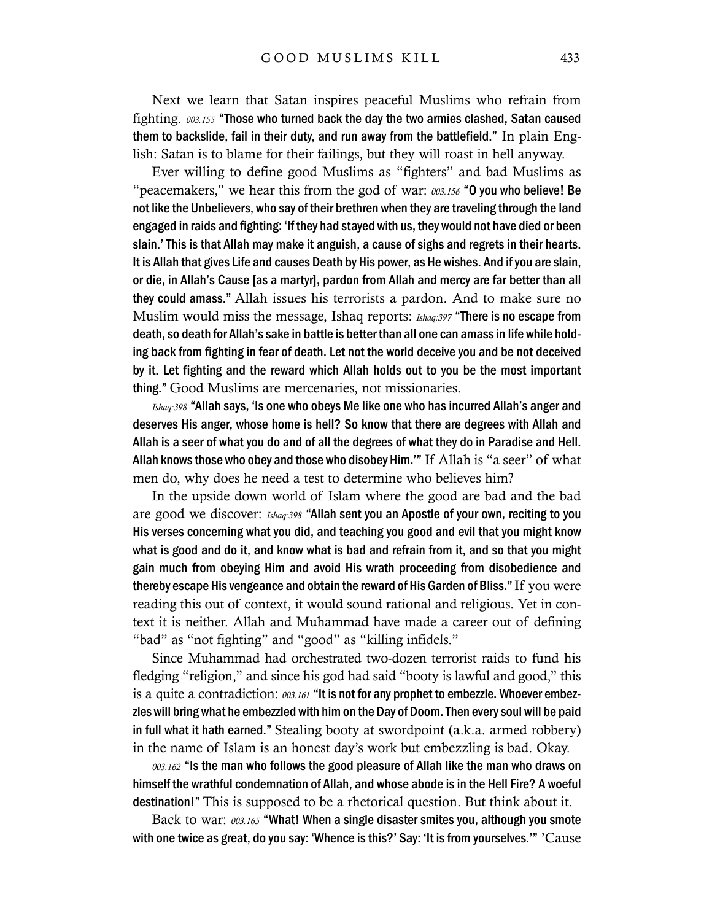Next we learn that Satan inspires peaceful Muslims who refrain from fighting. *003.155* "Those who turned back the day the two armies clashed, Satan caused them to backslide, fail in their duty, and run away from the battlefield." In plain English: Satan is to blame for their failings, but they will roast in hell anyway.

Ever willing to define good Muslims as "fighters" and bad Muslims as "peacemakers," we hear this from the god of war: *003.156* "O you who believe! Be not like the Unbelievers, who say of their brethren when they are traveling through the land engaged in raids and fighting: 'If they had stayed with us, they would not have died or been slain.' This is that Allah may make it anguish, a cause of sighs and regrets in their hearts. It is Allah that gives Life and causes Death by His power, as He wishes. And if you are slain, or die, in Allah's Cause [as a martyr], pardon from Allah and mercy are far better than all they could amass." Allah issues his terrorists a pardon. And to make sure no Muslim would miss the message, Ishaq reports: *Ishaq:397* "There is no escape from death, so death for Allah's sake in battle is better than all one can amass in life while holding back from fighting in fear of death. Let not the world deceive you and be not deceived by it. Let fighting and the reward which Allah holds out to you be the most important thing." Good Muslims are mercenaries, not missionaries.

*Ishaq:398* "Allah says, 'Is one who obeys Me like one who has incurred Allah's anger and deserves His anger, whose home is hell? So know that there are degrees with Allah and Allah is a seer of what you do and of all the degrees of what they do in Paradise and Hell. Allah knows those who obey and those who disobey Him.'" If Allah is "a seer" of what men do, why does he need a test to determine who believes him?

In the upside down world of Islam where the good are bad and the bad are good we discover: *Ishaq:398* "Allah sent you an Apostle of your own, reciting to you His verses concerning what you did, and teaching you good and evil that you might know what is good and do it, and know what is bad and refrain from it, and so that you might gain much from obeying Him and avoid His wrath proceeding from disobedience and thereby escape His vengeance and obtain the reward of His Garden of Bliss." If you were reading this out of context, it would sound rational and religious. Yet in context it is neither. Allah and Muhammad have made a career out of defining "bad" as "not fighting" and "good" as "killing infidels."

Since Muhammad had orchestrated two-dozen terrorist raids to fund his fledging "religion," and since his god had said "booty is lawful and good," this is a quite a contradiction:  $003.161$  "It is not for any prophet to embezzle. Whoever embezzles will bring what he embezzled with him on the Day of Doom. Then every soul will be paid in full what it hath earned." Stealing booty at swordpoint (a.k.a. armed robbery) in the name of Islam is an honest day's work but embezzling is bad. Okay.

*003.162* "Is the man who follows the good pleasure of Allah like the man who draws on himself the wrathful condemnation of Allah, and whose abode is in the Hell Fire? A woeful destination!" This is supposed to be a rhetorical question. But think about it.

Back to war: *003.165* "What! When a single disaster smites you, although you smote with one twice as great, do you say: 'Whence is this?' Say: 'It is from yourselves.'" 'Cause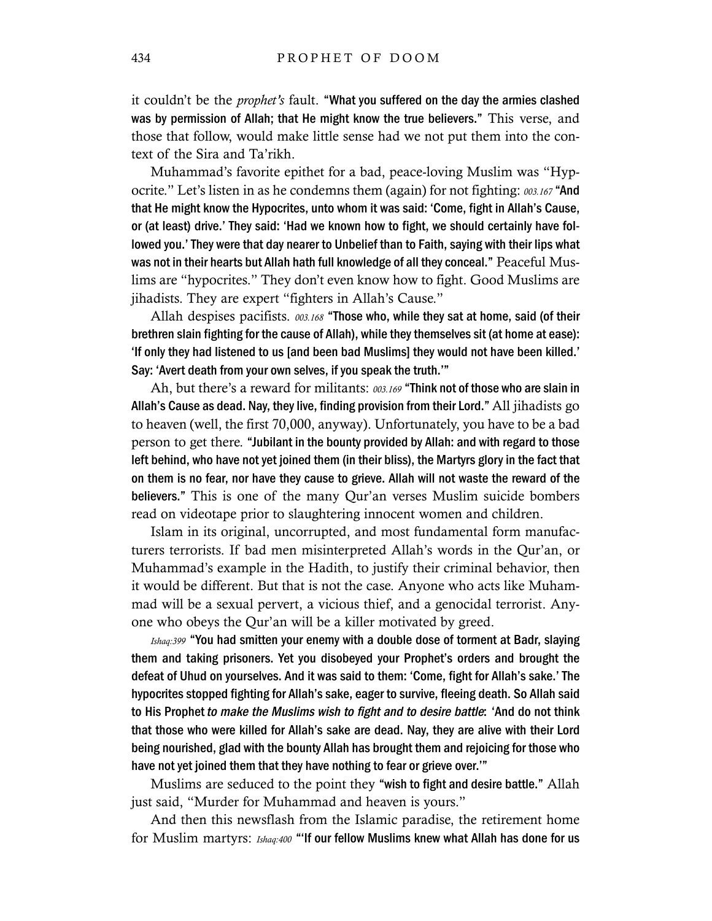it couldn't be the *prophet's* fault. "What you suffered on the day the armies clashed was by permission of Allah; that He might know the true believers." This verse, and those that follow, would make little sense had we not put them into the context of the Sira and Ta'rikh.

Muhammad's favorite epithet for a bad, peace-loving Muslim was "Hypocrite." Let's listen in as he condemns them (again) for not fighting: *003.167* "And that He might know the Hypocrites, unto whom it was said: 'Come, fight in Allah's Cause, or (at least) drive.' They said: 'Had we known how to fight, we should certainly have followed you.' They were that day nearer to Unbelief than to Faith, saying with their lips what was not in their hearts but Allah hath full knowledge of all they conceal." Peaceful Muslims are "hypocrites." They don't even know how to fight. Good Muslims are jihadists. They are expert "fighters in Allah's Cause."

Allah despises pacifists. *003.168* "Those who, while they sat at home, said (of their brethren slain fighting for the cause of Allah), while they themselves sit (at home at ease): 'If only they had listened to us [and been bad Muslims] they would not have been killed.' Say: 'Avert death from your own selves, if you speak the truth.'"

Ah, but there's a reward for militants: *003.169* "Think not of those who are slain in Allah's Cause as dead. Nay, they live, finding provision from their Lord." All jihadists go to heaven (well, the first 70,000, anyway). Unfortunately, you have to be a bad person to get there. "Jubilant in the bounty provided by Allah: and with regard to those left behind, who have not yet joined them (in their bliss), the Martyrs glory in the fact that on them is no fear, nor have they cause to grieve. Allah will not waste the reward of the believers." This is one of the many Qur'an verses Muslim suicide bombers read on videotape prior to slaughtering innocent women and children.

Islam in its original, uncorrupted, and most fundamental form manufacturers terrorists. If bad men misinterpreted Allah's words in the Qur'an, or Muhammad's example in the Hadith, to justify their criminal behavior, then it would be different. But that is not the case. Anyone who acts like Muhammad will be a sexual pervert, a vicious thief, and a genocidal terrorist. Anyone who obeys the Qur'an will be a killer motivated by greed.

*Ishaq:399* "You had smitten your enemy with a double dose of torment at Badr, slaying them and taking prisoners. Yet you disobeyed your Prophet's orders and brought the defeat of Uhud on yourselves. And it was said to them: 'Come, fight for Allah's sake.' The hypocrites stopped fighting for Allah's sake, eager to survive, fleeing death. So Allah said to His Prophet to make the Muslims wish to fight and to desire battle: 'And do not think that those who were killed for Allah's sake are dead. Nay, they are alive with their Lord being nourished, glad with the bounty Allah has brought them and rejoicing for those who have not yet joined them that they have nothing to fear or grieve over.'"

Muslims are seduced to the point they "wish to fight and desire battle." Allah just said, "Murder for Muhammad and heaven is yours."

And then this newsflash from the Islamic paradise, the retirement home for Muslim martyrs: *Ishaq:400* "'If our fellow Muslims knew what Allah has done for us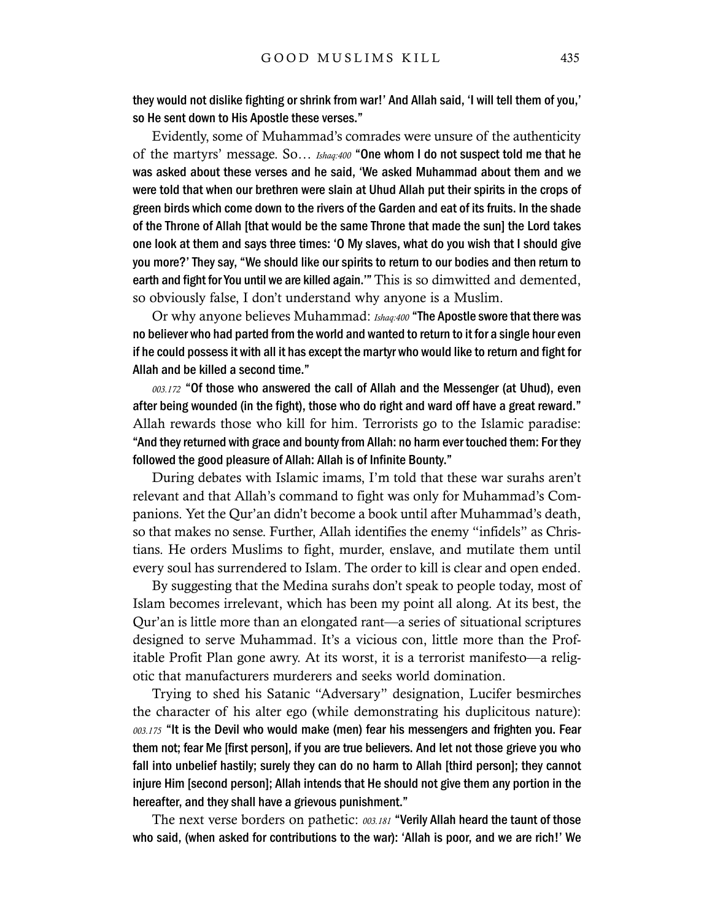they would not dislike fighting or shrink from war!' And Allah said, 'I will tell them of you,' so He sent down to His Apostle these verses."

Evidently, some of Muhammad's comrades were unsure of the authenticity of the martyrs' message. So… *Ishaq:400* "One whom I do not suspect told me that he was asked about these verses and he said, 'We asked Muhammad about them and we were told that when our brethren were slain at Uhud Allah put their spirits in the crops of green birds which come down to the rivers of the Garden and eat of its fruits. In the shade of the Throne of Allah [that would be the same Throne that made the sun] the Lord takes one look at them and says three times: 'O My slaves, what do you wish that I should give you more?' They say, "We should like our spirits to return to our bodies and then return to earth and fight for You until we are killed again.'" This is so dimwitted and demented, so obviously false, I don't understand why anyone is a Muslim.

Or why anyone believes Muhammad: *Ishaq:400* "The Apostle swore that there was no believer who had parted from the world and wanted to return to it for a single hour even if he could possess it with all it has except the martyr who would like to return and fight for Allah and be killed a second time."

*003.172* "Of those who answered the call of Allah and the Messenger (at Uhud), even after being wounded (in the fight), those who do right and ward off have a great reward." Allah rewards those who kill for him. Terrorists go to the Islamic paradise: "And they returned with grace and bounty from Allah: no harm ever touched them: For they followed the good pleasure of Allah: Allah is of Infinite Bounty."

During debates with Islamic imams, I'm told that these war surahs aren't relevant and that Allah's command to fight was only for Muhammad's Companions. Yet the Qur'an didn't become a book until after Muhammad's death, so that makes no sense. Further, Allah identifies the enemy "infidels" as Christians. He orders Muslims to fight, murder, enslave, and mutilate them until every soul has surrendered to Islam. The order to kill is clear and open ended.

By suggesting that the Medina surahs don't speak to people today, most of Islam becomes irrelevant, which has been my point all along. At its best, the Qur'an is little more than an elongated rant—a series of situational scriptures designed to serve Muhammad. It's a vicious con, little more than the Profitable Profit Plan gone awry. At its worst, it is a terrorist manifesto—a religotic that manufacturers murderers and seeks world domination.

Trying to shed his Satanic "Adversary" designation, Lucifer besmirches the character of his alter ego (while demonstrating his duplicitous nature): *003.175* "It is the Devil who would make (men) fear his messengers and frighten you. Fear them not; fear Me [first person], if you are true believers. And let not those grieve you who fall into unbelief hastily; surely they can do no harm to Allah [third person]; they cannot injure Him [second person]; Allah intends that He should not give them any portion in the hereafter, and they shall have a grievous punishment."

The next verse borders on pathetic: *003.181* "Verily Allah heard the taunt of those who said, (when asked for contributions to the war): 'Allah is poor, and we are rich!' We